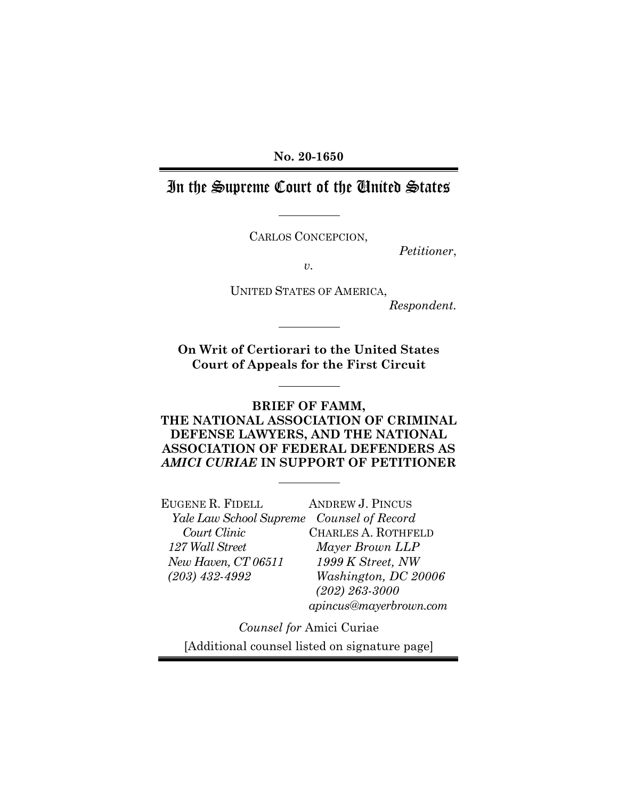### **No. 20-1650**

# In the Supreme Court of the United States

CARLOS CONCEPCION,

*Petitioner*,

*v.* 

UNITED STATES OF AMERICA, *Respondent.*

**On Writ of Certiorari to the United States Court of Appeals for the First Circuit** 

### **BRIEF OF FAMM, THE NATIONAL ASSOCIATION OF CRIMINAL DEFENSE LAWYERS, AND THE NATIONAL ASSOCIATION OF FEDERAL DEFENDERS AS**  *AMICI CURIAE* **IN SUPPORT OF PETITIONER**

EUGENE R. FIDELL *Yale Law School Supreme Counsel of Record Court Clinic 127 Wall Street New Haven, CT 06511 (203) 432-4992*  ANDREW J. PINCUS

CHARLES A. ROTHFELD *Mayer Brown LLP 1999 K Street, NW Washington, DC 20006 (202) 263-3000 apincus@mayerbrown.com*

*Counsel for* Amici Curiae [Additional counsel listed on signature page]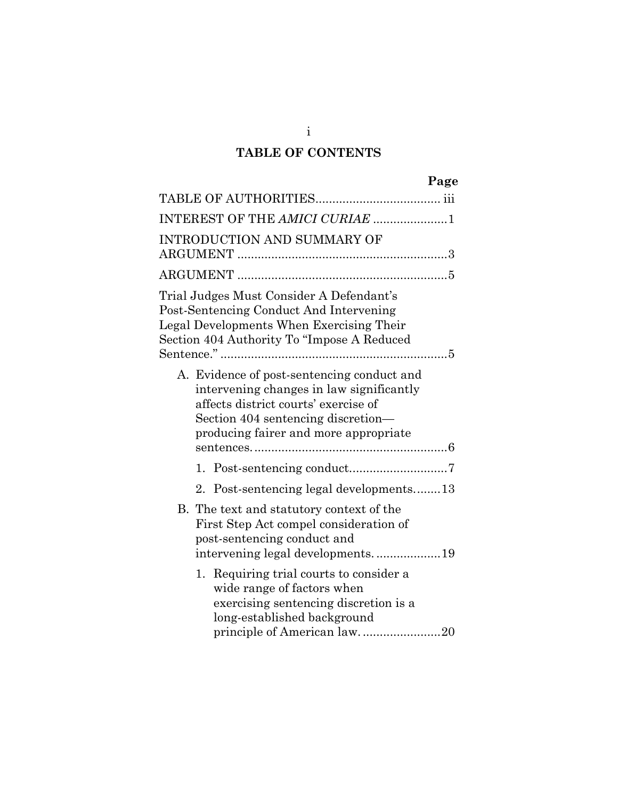## **TABLE OF CONTENTS**

| ٠<br>о |
|--------|
|--------|

| INTEREST OF THE AMICI CURIAE 1                                                                                                                                                                                |
|---------------------------------------------------------------------------------------------------------------------------------------------------------------------------------------------------------------|
| <b>INTRODUCTION AND SUMMARY OF</b>                                                                                                                                                                            |
|                                                                                                                                                                                                               |
| Trial Judges Must Consider A Defendant's<br>Post-Sentencing Conduct And Intervening<br>Legal Developments When Exercising Their<br>Section 404 Authority To "Impose A Reduced                                 |
| A. Evidence of post-sentencing conduct and<br>intervening changes in law significantly<br>affects district courts' exercise of<br>Section 404 sentencing discretion—<br>producing fairer and more appropriate |
|                                                                                                                                                                                                               |
| Post-sentencing legal developments13<br>2.                                                                                                                                                                    |
| B. The text and statutory context of the<br>First Step Act compel consideration of<br>post-sentencing conduct and<br>intervening legal developments19                                                         |
| 1. Requiring trial courts to consider a<br>wide range of factors when<br>exercising sentencing discretion is a<br>long-established background<br>principle of American law20                                  |

i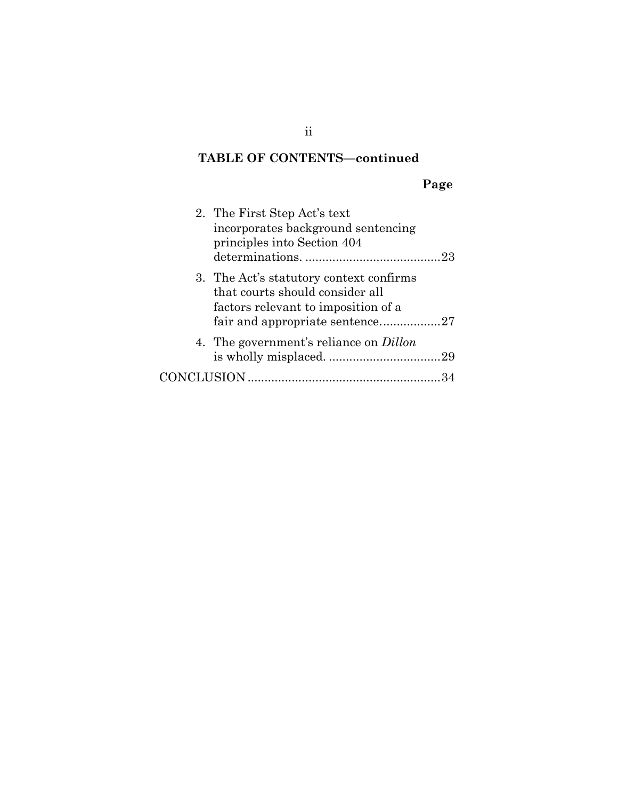# **TABLE OF CONTENTS—continued**

# **Page**

| 2. The First Step Act's text<br>incorporates background sentencing<br>principles into Section 404                 |
|-------------------------------------------------------------------------------------------------------------------|
| 3. The Act's statutory context confirms<br>that courts should consider all<br>factors relevant to imposition of a |
| 4. The government's reliance on <i>Dillon</i>                                                                     |
|                                                                                                                   |

ii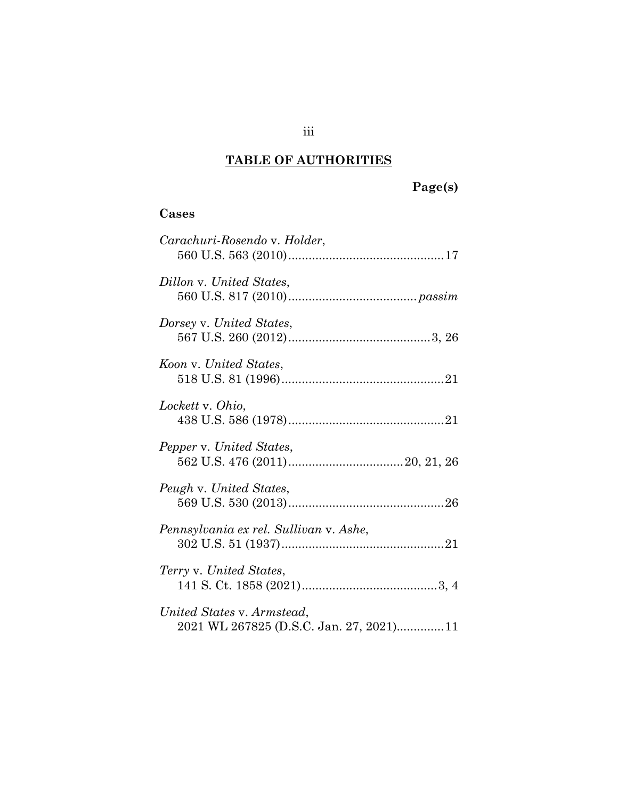# **TABLE OF AUTHORITIES**

# **Page(s)**

### **Cases**

| Carachuri-Rosendo v. Holder,                                          |
|-----------------------------------------------------------------------|
| Dillon v. United States,                                              |
| Dorsey v. United States,                                              |
| Koon v. United States,                                                |
| Lockett v. Ohio,                                                      |
| Pepper v. United States,                                              |
| Peugh v. United States,                                               |
| Pennsylvania ex rel. Sullivan v. Ashe,                                |
| Terry v. United States,                                               |
| United States v. Armstead,<br>2021 WL 267825 (D.S.C. Jan. 27, 2021)11 |

iii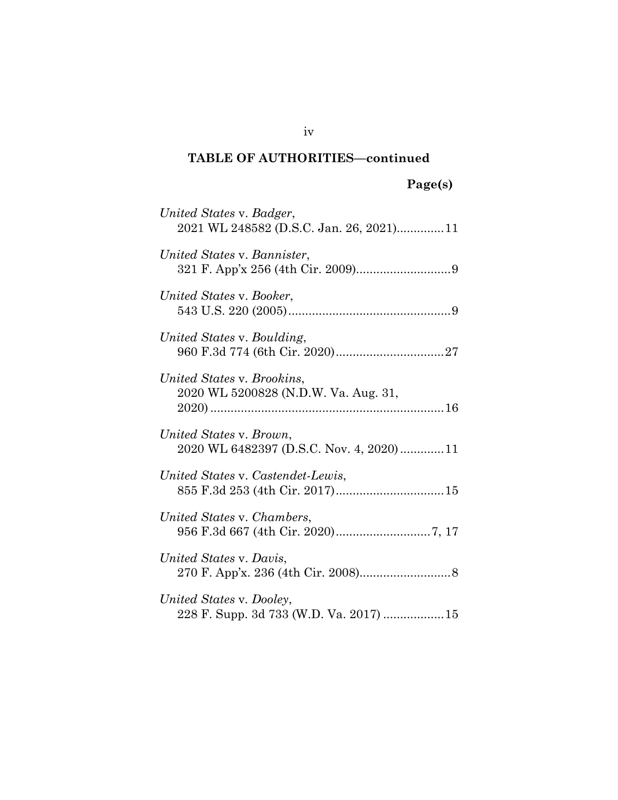| 'age(s)<br>υ |  |
|--------------|--|
|--------------|--|

| United States v. Badger,<br>2021 WL 248582 (D.S.C. Jan. 26, 2021) 11 |
|----------------------------------------------------------------------|
| United States v. Bannister,                                          |
| United States v. Booker,                                             |
| United States v. Boulding,                                           |
| United States v. Brookins,<br>2020 WL 5200828 (N.D.W. Va. Aug. 31,   |
| United States v. Brown,<br>2020 WL 6482397 (D.S.C. Nov. 4, 2020)11   |
| United States v. Castendet-Lewis,                                    |
| United States v. Chambers,                                           |
| United States v. Davis,                                              |
| United States v. Dooley,<br>228 F. Supp. 3d 733 (W.D. Va. 2017)  15  |

iv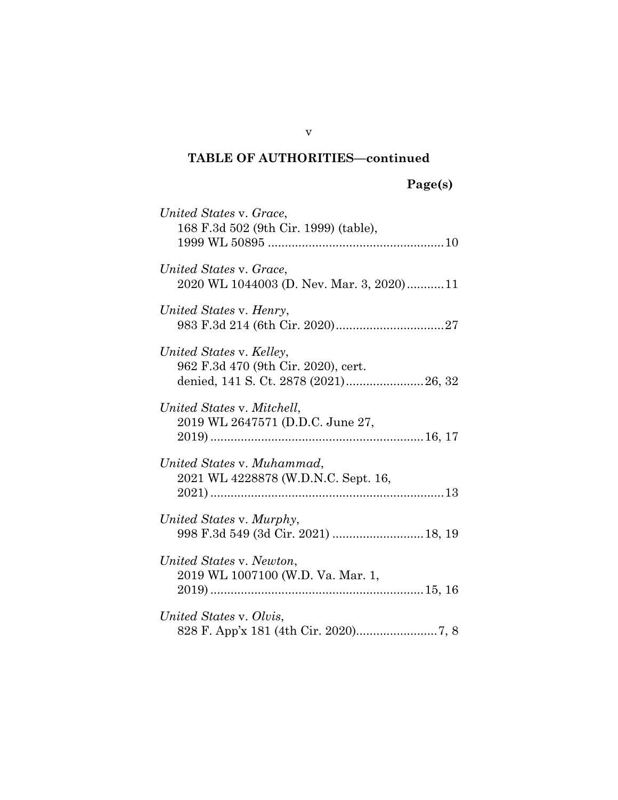# **Page(s)**

| United States v. Grace,<br>168 F.3d 502 (9th Cir. 1999) (table),                                        |  |
|---------------------------------------------------------------------------------------------------------|--|
| United States v. Grace,<br>2020 WL 1044003 (D. Nev. Mar. 3, 2020)11                                     |  |
| United States v. Henry,                                                                                 |  |
| United States v. Kelley,<br>962 F.3d 470 (9th Cir. 2020), cert.<br>denied, 141 S. Ct. 2878 (2021)26, 32 |  |
| United States v. Mitchell,<br>2019 WL 2647571 (D.D.C. June 27,                                          |  |
| United States v. Muhammad,<br>2021 WL 4228878 (W.D.N.C. Sept. 16,                                       |  |
| United States v. Murphy,<br>998 F.3d 549 (3d Cir. 2021)  18, 19                                         |  |
| United States v. Newton,<br>2019 WL 1007100 (W.D. Va. Mar. 1,                                           |  |
| United States v. Olvis,                                                                                 |  |

v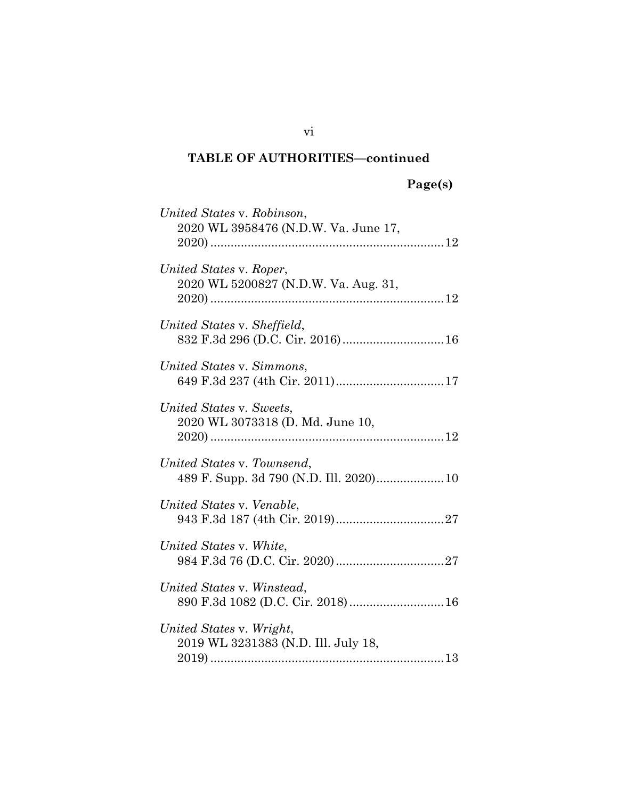| United States v. Robinson,<br>2020 WL 3958476 (N.D.W. Va. June 17,    |  |
|-----------------------------------------------------------------------|--|
| United States v. Roper,<br>2020 WL 5200827 (N.D.W. Va. Aug. 31,       |  |
| United States v. Sheffield,<br>832 F.3d 296 (D.C. Cir. 2016) 16       |  |
| United States v. Simmons,<br>649 F.3d 237 (4th Cir. 2011)17           |  |
| United States v. Sweets,<br>2020 WL 3073318 (D. Md. June 10,          |  |
| United States v. Townsend,<br>489 F. Supp. 3d 790 (N.D. Ill. 2020) 10 |  |
| United States v. Venable,                                             |  |
| United States v. White,                                               |  |
| United States v. Winstead,<br>890 F.3d 1082 (D.C. Cir. 2018) 16       |  |
| United States v. Wright,<br>2019 WL 3231383 (N.D. Ill. July 18,       |  |

vi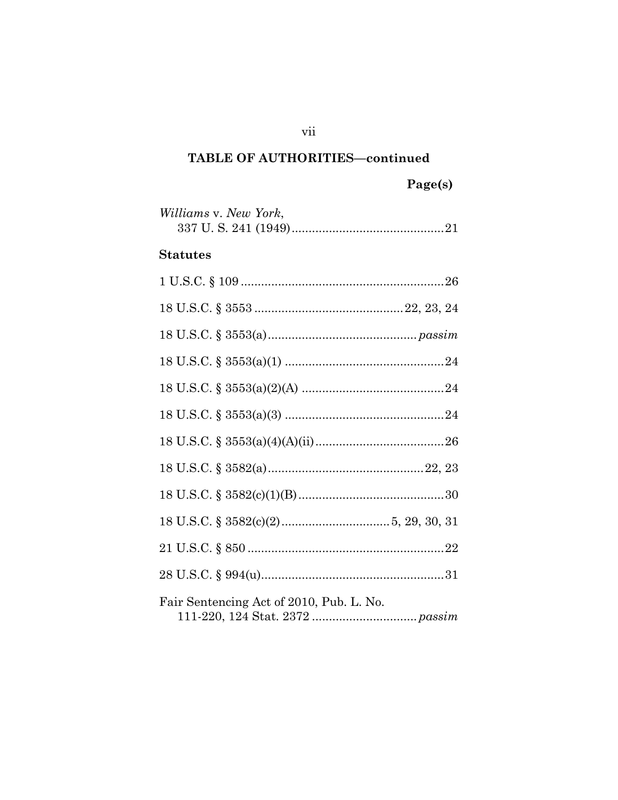# Page(s)

| Williams v. New York, |  |
|-----------------------|--|
|                       |  |

### **Statutes**

| Fair Sentencing Act of 2010, Pub. L. No. |
|------------------------------------------|

vii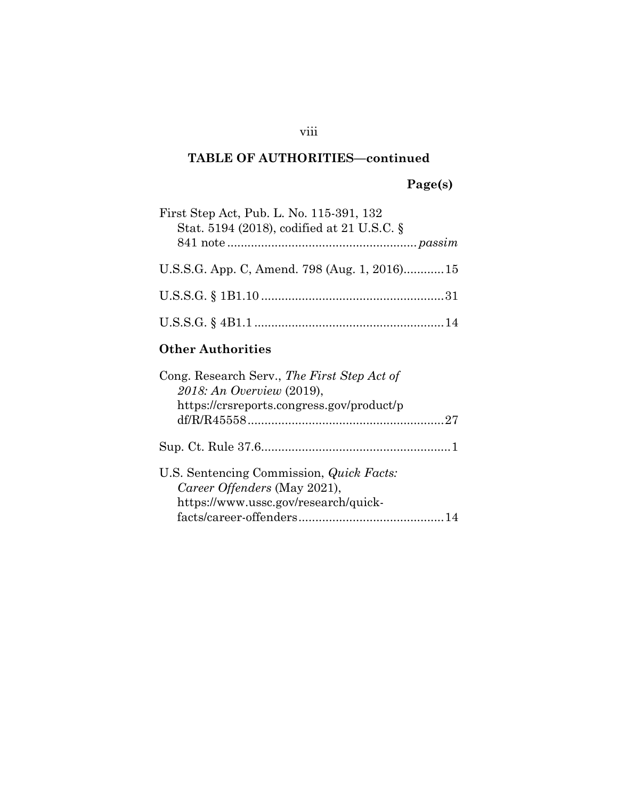# **Page(s)**

| First Step Act, Pub. L. No. 115-391, 132<br>Stat. 5194 (2018), codified at 21 U.S.C. § |  |
|----------------------------------------------------------------------------------------|--|
|                                                                                        |  |
| U.S.S.G. App. C, Amend. 798 (Aug. 1, 2016) 15                                          |  |
|                                                                                        |  |
|                                                                                        |  |
|                                                                                        |  |

## **Other Authorities**

| Cong. Research Serv., The First Step Act of<br>2018: An Overview (2019),                                                |  |
|-------------------------------------------------------------------------------------------------------------------------|--|
| https://crsreports.congress.gov/product/p                                                                               |  |
|                                                                                                                         |  |
| U.S. Sentencing Commission, <i>Quick Facts:</i><br>Career Offenders (May 2021),<br>https://www.ussc.gov/research/quick- |  |
|                                                                                                                         |  |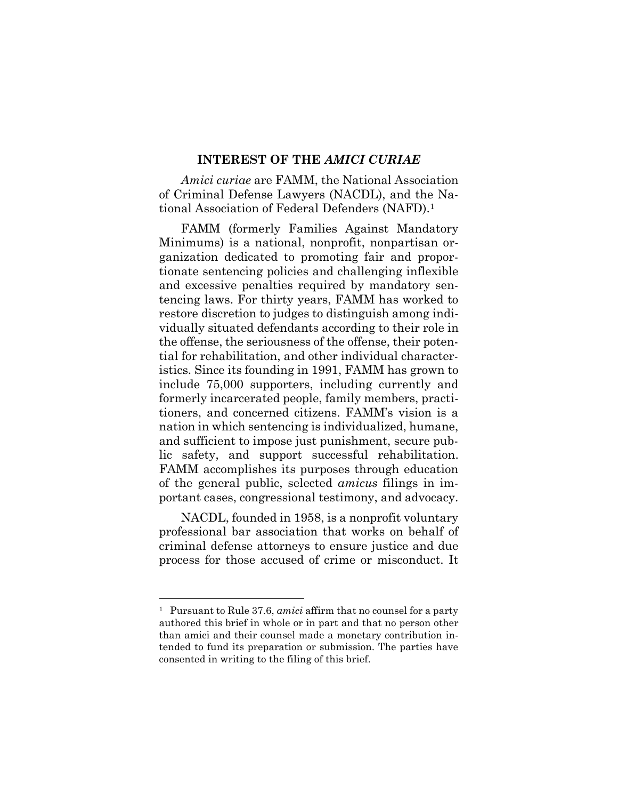#### **INTEREST OF THE** *AMICI CURIAE*

<span id="page-9-0"></span>*Amici curiae* are FAMM, the National Association of Criminal Defense Lawyers (NACDL), and the National Association of Federal Defenders (NAFD).<sup>1</sup>

FAMM (formerly Families Against Mandatory Minimums) is a national, nonprofit, nonpartisan organization dedicated to promoting fair and proportionate sentencing policies and challenging inflexible and excessive penalties required by mandatory sentencing laws. For thirty years, FAMM has worked to restore discretion to judges to distinguish among individually situated defendants according to their role in the offense, the seriousness of the offense, their potential for rehabilitation, and other individual characteristics. Since its founding in 1991, FAMM has grown to include 75,000 supporters, including currently and formerly incarcerated people, family members, practitioners, and concerned citizens. FAMM's vision is a nation in which sentencing is individualized, humane, and sufficient to impose just punishment, secure public safety, and support successful rehabilitation. FAMM accomplishes its purposes through education of the general public, selected *amicus* filings in important cases, congressional testimony, and advocacy.

NACDL, founded in 1958, is a nonprofit voluntary professional bar association that works on behalf of criminal defense attorneys to ensure justice and due process for those accused of crime or misconduct. It

<span id="page-9-1"></span>l

<sup>1</sup> Pursuant to Rule 37.6, *amici* affirm that no counsel for a party authored this brief in whole or in part and that no person other than amici and their counsel made a monetary contribution intended to fund its preparation or submission. The parties have consented in writing to the filing of this brief.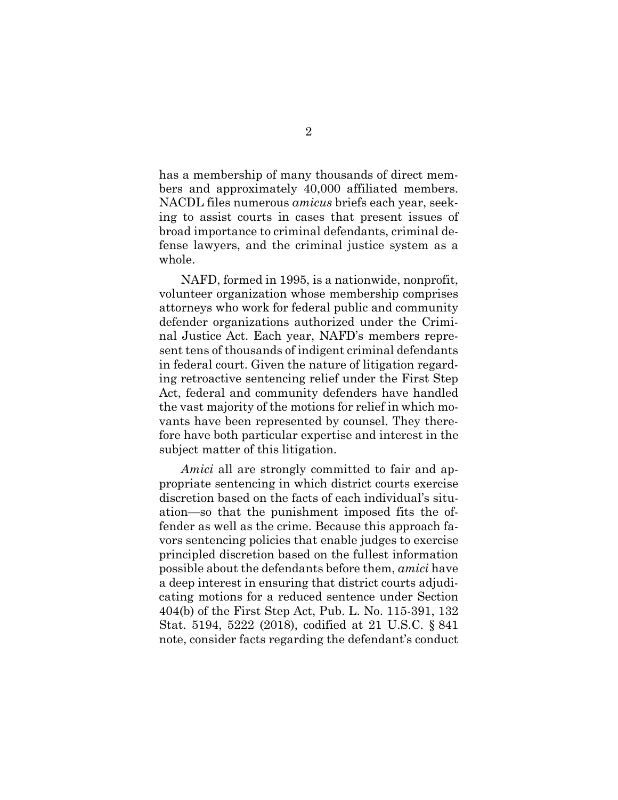has a membership of many thousands of direct members and approximately 40,000 affiliated members. NACDL files numerous *amicus* briefs each year, seeking to assist courts in cases that present issues of broad importance to criminal defendants, criminal defense lawyers, and the criminal justice system as a whole.

NAFD, formed in 1995, is a nationwide, nonprofit, volunteer organization whose membership comprises attorneys who work for federal public and community defender organizations authorized under the Criminal Justice Act. Each year, NAFD's members represent tens of thousands of indigent criminal defendants in federal court. Given the nature of litigation regarding retroactive sentencing relief under the First Step Act, federal and community defenders have handled the vast majority of the motions for relief in which movants have been represented by counsel. They therefore have both particular expertise and interest in the subject matter of this litigation.

<span id="page-10-0"></span>*Amici* all are strongly committed to fair and appropriate sentencing in which district courts exercise discretion based on the facts of each individual's situation—so that the punishment imposed fits the offender as well as the crime. Because this approach favors sentencing policies that enable judges to exercise principled discretion based on the fullest information possible about the defendants before them, *amici* have a deep interest in ensuring that district courts adjudicating motions for a reduced sentence under Section 404(b) of the First Step Act, Pub. L. No. 115-391, 132 Stat. 5194, 5222 (2018), codified at 21 U.S.C. § 841 note, consider facts regarding the defendant's conduct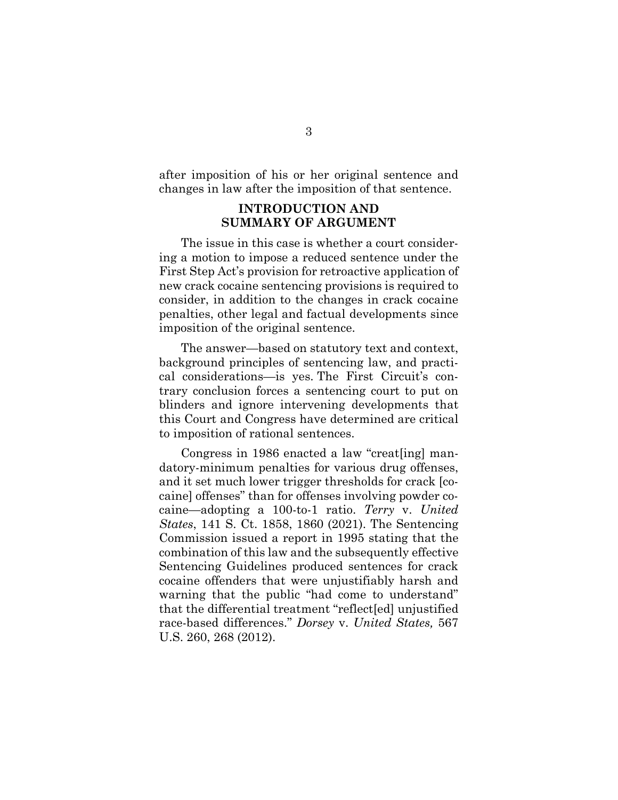<span id="page-11-0"></span>after imposition of his or her original sentence and changes in law after the imposition of that sentence.

### **INTRODUCTION AND SUMMARY OF ARGUMENT**

The issue in this case is whether a court considering a motion to impose a reduced sentence under the First Step Act's provision for retroactive application of new crack cocaine sentencing provisions is required to consider, in addition to the changes in crack cocaine penalties, other legal and factual developments since imposition of the original sentence.

The answer—based on statutory text and context, background principles of sentencing law, and practical considerations—is yes. The First Circuit's contrary conclusion forces a sentencing court to put on blinders and ignore intervening developments that this Court and Congress have determined are critical to imposition of rational sentences.

<span id="page-11-2"></span><span id="page-11-1"></span>Congress in 1986 enacted a law "creat[ing] mandatory-minimum penalties for various drug offenses, and it set much lower trigger thresholds for crack [cocaine] offenses" than for offenses involving powder cocaine—adopting a 100-to-1 ratio. *Terry* v. *United States*, 141 S. Ct. 1858, 1860 (2021). The Sentencing Commission issued a report in 1995 stating that the combination of this law and the subsequently effective Sentencing Guidelines produced sentences for crack cocaine offenders that were unjustifiably harsh and warning that the public "had come to understand" that the differential treatment "reflect[ed] unjustified race-based differences." *Dorsey* v. *United States,* 567 U.S. 260, 268 (2012).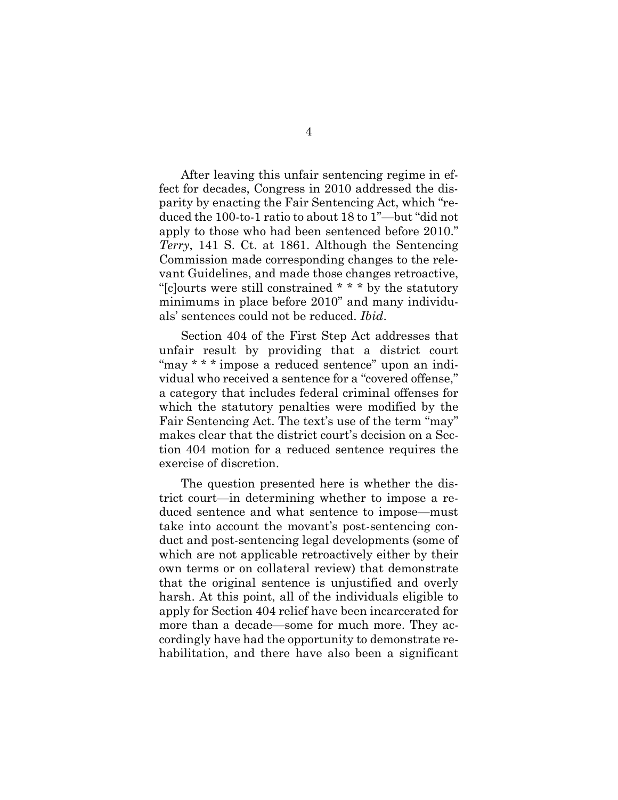<span id="page-12-0"></span>After leaving this unfair sentencing regime in effect for decades, Congress in 2010 addressed the disparity by enacting the Fair Sentencing Act, which "reduced the 100-to-1 ratio to about 18 to 1"—but "did not apply to those who had been sentenced before 2010." *Terry*, 141 S. Ct. at 1861. Although the Sentencing Commission made corresponding changes to the relevant Guidelines, and made those changes retroactive, "[c]ourts were still constrained \* \* \* by the statutory minimums in place before 2010" and many individuals' sentences could not be reduced. *Ibid*.

Section 404 of the First Step Act addresses that unfair result by providing that a district court "may \* \* \* impose a reduced sentence" upon an individual who received a sentence for a "covered offense," a category that includes federal criminal offenses for which the statutory penalties were modified by the Fair Sentencing Act. The text's use of the term "may" makes clear that the district court's decision on a Section 404 motion for a reduced sentence requires the exercise of discretion.

The question presented here is whether the district court—in determining whether to impose a reduced sentence and what sentence to impose—must take into account the movant's post-sentencing conduct and post-sentencing legal developments (some of which are not applicable retroactively either by their own terms or on collateral review) that demonstrate that the original sentence is unjustified and overly harsh. At this point, all of the individuals eligible to apply for Section 404 relief have been incarcerated for more than a decade—some for much more. They accordingly have had the opportunity to demonstrate rehabilitation, and there have also been a significant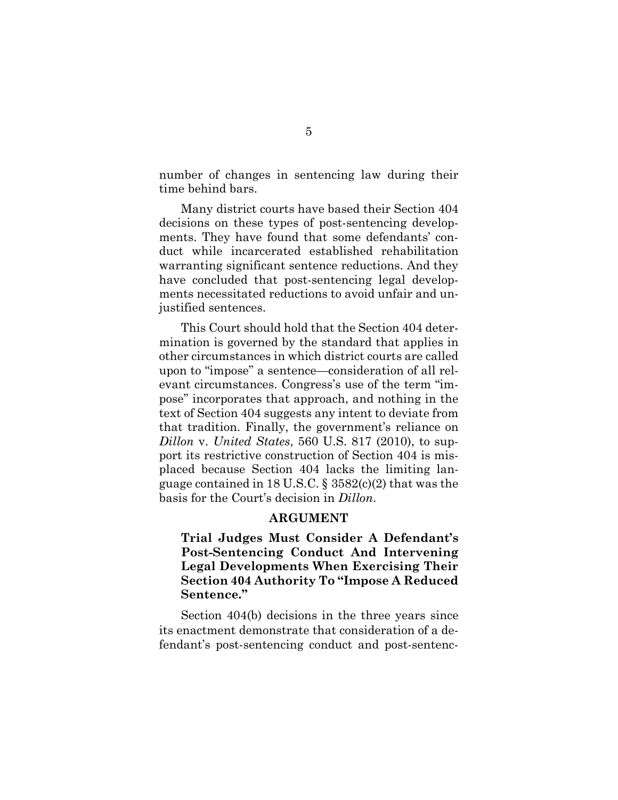number of changes in sentencing law during their time behind bars.

Many district courts have based their Section 404 decisions on these types of post-sentencing developments. They have found that some defendants' conduct while incarcerated established rehabilitation warranting significant sentence reductions. And they have concluded that post-sentencing legal developments necessitated reductions to avoid unfair and unjustified sentences.

This Court should hold that the Section 404 determination is governed by the standard that applies in other circumstances in which district courts are called upon to "impose" a sentence—consideration of all relevant circumstances. Congress's use of the term "impose" incorporates that approach, and nothing in the text of Section 404 suggests any intent to deviate from that tradition. Finally, the government's reliance on *Dillon* v. *United States*, 560 U.S. 817 (2010), to support its restrictive construction of Section 404 is misplaced because Section 404 lacks the limiting language contained in 18 U.S.C. § 3582(c)(2) that was the basis for the Court's decision in *Dillon*.

### <span id="page-13-3"></span>**ARGUMENT**

<span id="page-13-2"></span><span id="page-13-1"></span><span id="page-13-0"></span>**Trial Judges Must Consider A Defendant's Post-Sentencing Conduct And Intervening Legal Developments When Exercising Their Section 404 Authority To "Impose A Reduced Sentence."** 

Section 404(b) decisions in the three years since its enactment demonstrate that consideration of a defendant's post-sentencing conduct and post-sentenc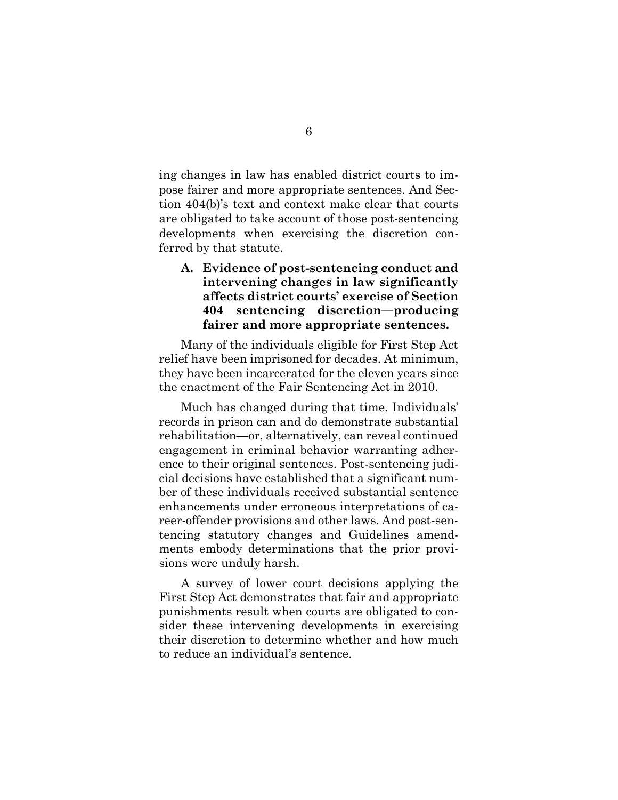ing changes in law has enabled district courts to impose fairer and more appropriate sentences. And Section 404(b)'s text and context make clear that courts are obligated to take account of those post-sentencing developments when exercising the discretion conferred by that statute.

### <span id="page-14-0"></span>**A. Evidence of post-sentencing conduct and intervening changes in law significantly affects district courts' exercise of Section 404 sentencing discretion—producing fairer and more appropriate sentences.**

Many of the individuals eligible for First Step Act relief have been imprisoned for decades. At minimum, they have been incarcerated for the eleven years since the enactment of the Fair Sentencing Act in 2010.

Much has changed during that time. Individuals' records in prison can and do demonstrate substantial rehabilitation—or, alternatively, can reveal continued engagement in criminal behavior warranting adherence to their original sentences. Post-sentencing judicial decisions have established that a significant number of these individuals received substantial sentence enhancements under erroneous interpretations of career-offender provisions and other laws. And post-sentencing statutory changes and Guidelines amendments embody determinations that the prior provisions were unduly harsh.

A survey of lower court decisions applying the First Step Act demonstrates that fair and appropriate punishments result when courts are obligated to consider these intervening developments in exercising their discretion to determine whether and how much to reduce an individual's sentence.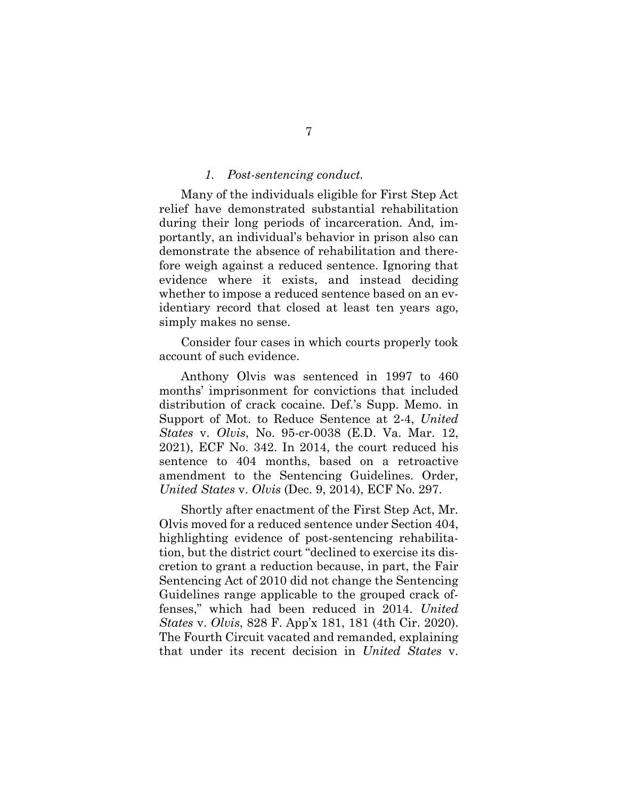#### *1. Post-sentencing conduct.*

<span id="page-15-0"></span>Many of the individuals eligible for First Step Act relief have demonstrated substantial rehabilitation during their long periods of incarceration. And, importantly, an individual's behavior in prison also can demonstrate the absence of rehabilitation and therefore weigh against a reduced sentence. Ignoring that evidence where it exists, and instead deciding whether to impose a reduced sentence based on an evidentiary record that closed at least ten years ago, simply makes no sense.

Consider four cases in which courts properly took account of such evidence.

Anthony Olvis was sentenced in 1997 to 460 months' imprisonment for convictions that included distribution of crack cocaine. Def.'s Supp. Memo. in Support of Mot. to Reduce Sentence at 2-4, *United States* v. *Olvis*, No. 95-cr-0038 (E.D. Va. Mar. 12, 2021), ECF No. 342. In 2014, the court reduced his sentence to 404 months, based on a retroactive amendment to the Sentencing Guidelines. Order, *United States* v. *Olvis* (Dec. 9, 2014), ECF No. 297.

<span id="page-15-2"></span><span id="page-15-1"></span>Shortly after enactment of the First Step Act, Mr. Olvis moved for a reduced sentence under Section 404, highlighting evidence of post-sentencing rehabilitation, but the district court "declined to exercise its discretion to grant a reduction because, in part, the Fair Sentencing Act of 2010 did not change the Sentencing Guidelines range applicable to the grouped crack offenses," which had been reduced in 2014. *United States* v. *Olvis*, 828 F. App'x 181, 181 (4th Cir. 2020). The Fourth Circuit vacated and remanded, explaining that under its recent decision in *United States* v.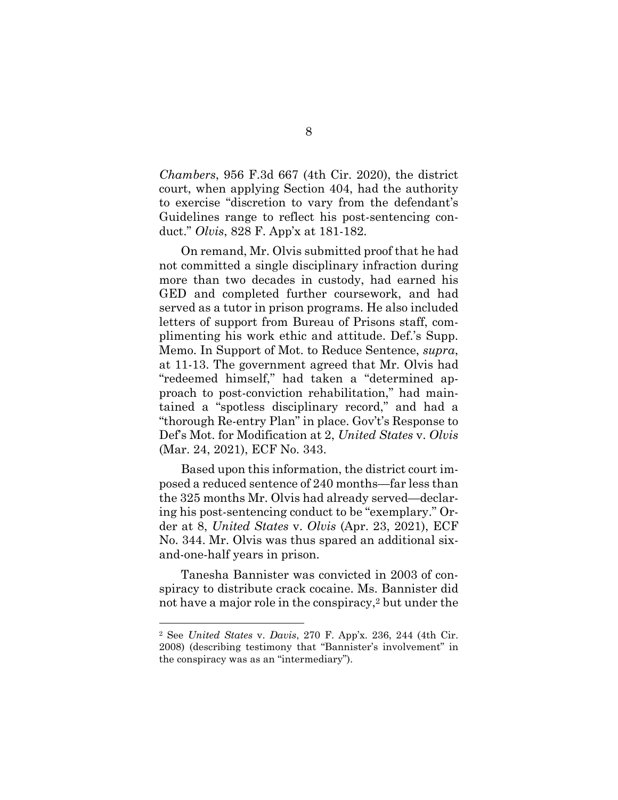*Chambers*, 956 F.3d 667 (4th Cir. 2020), the district court, when applying Section 404, had the authority to exercise "discretion to vary from the defendant's Guidelines range to reflect his post-sentencing conduct." *Olvis*, 828 F. App'x at 181-182.

<span id="page-16-1"></span>On remand, Mr. Olvis submitted proof that he had not committed a single disciplinary infraction during more than two decades in custody, had earned his GED and completed further coursework, and had served as a tutor in prison programs. He also included letters of support from Bureau of Prisons staff, complimenting his work ethic and attitude. Def.'s Supp. Memo. In Support of Mot. to Reduce Sentence, *supra*, at 11-13. The government agreed that Mr. Olvis had "redeemed himself," had taken a "determined approach to post-conviction rehabilitation," had maintained a "spotless disciplinary record," and had a "thorough Re-entry Plan" in place. Gov't's Response to Def's Mot. for Modification at 2, *United States* v. *Olvis* (Mar. 24, 2021), ECF No. 343.

Based upon this information, the district court imposed a reduced sentence of 240 months—far less than the 325 months Mr. Olvis had already served—declaring his post-sentencing conduct to be "exemplary." Order at 8, *United States* v. *Olvis* (Apr. 23, 2021), ECF No. 344. Mr. Olvis was thus spared an additional sixand-one-half years in prison.

Tanesha Bannister was convicted in 2003 of conspiracy to distribute crack cocaine. Ms. Bannister did not have a major role in the conspiracy,2 but under the

l

<span id="page-16-0"></span><sup>2</sup> See *United States* v. *Davis*, 270 F. App'x. 236, 244 (4th Cir. 2008) (describing testimony that "Bannister's involvement" in the conspiracy was as an "intermediary").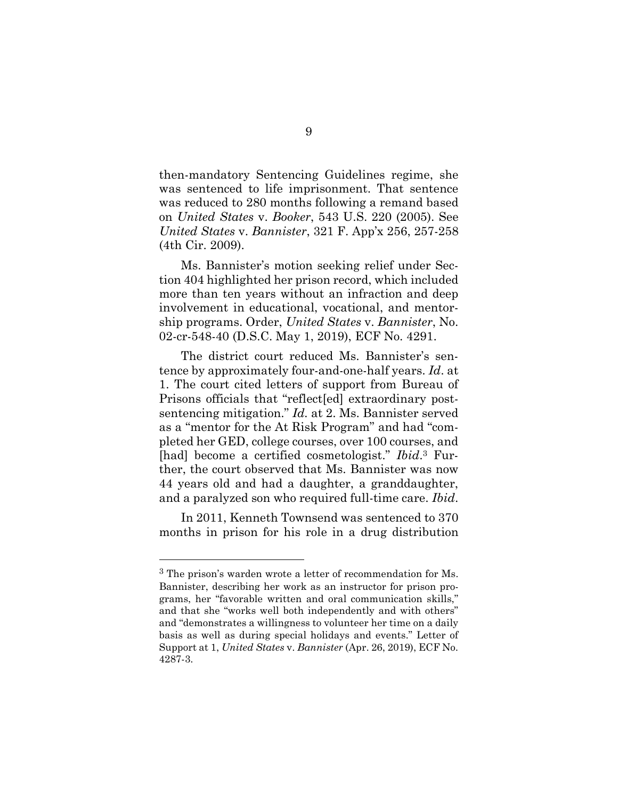<span id="page-17-1"></span>then-mandatory Sentencing Guidelines regime, she was sentenced to life imprisonment. That sentence was reduced to 280 months following a remand based on *United States* v. *Booker*, 543 U.S. 220 (2005). See *United States* v. *Bannister*, 321 F. App'x 256, 257-258 (4th Cir. 2009).

<span id="page-17-0"></span>Ms. Bannister's motion seeking relief under Section 404 highlighted her prison record, which included more than ten years without an infraction and deep involvement in educational, vocational, and mentorship programs. Order, *United States* v. *Bannister*, No. 02-cr-548-40 (D.S.C. May 1, 2019), ECF No. 4291.

The district court reduced Ms. Bannister's sentence by approximately four-and-one-half years. *Id*. at 1. The court cited letters of support from Bureau of Prisons officials that "reflect[ed] extraordinary postsentencing mitigation." *Id.* at 2. Ms. Bannister served as a "mentor for the At Risk Program" and had "completed her GED, college courses, over 100 courses, and [had] become a certified cosmetologist." *Ibid*.<sup>3</sup> Further, the court observed that Ms. Bannister was now 44 years old and had a daughter, a granddaughter, and a paralyzed son who required full-time care. *Ibid*.

In 2011, Kenneth Townsend was sentenced to 370 months in prison for his role in a drug distribution

l

<sup>3</sup> The prison's warden wrote a letter of recommendation for Ms. Bannister, describing her work as an instructor for prison programs, her "favorable written and oral communication skills," and that she "works well both independently and with others" and "demonstrates a willingness to volunteer her time on a daily basis as well as during special holidays and events." Letter of Support at 1, *United States* v. *Bannister* (Apr. 26, 2019), ECF No. 4287-3.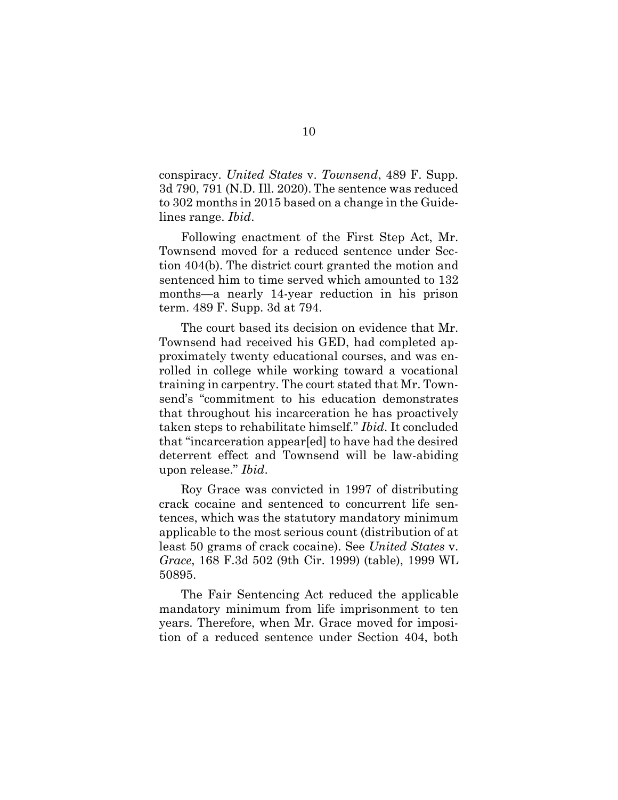<span id="page-18-1"></span>conspiracy. *United States* v. *Townsend*, 489 F. Supp. 3d 790, 791 (N.D. Ill. 2020).The sentence was reduced to 302 months in 2015 based on a change in the Guidelines range. *Ibid*.

Following enactment of the First Step Act, Mr. Townsend moved for a reduced sentence under Section 404(b). The district court granted the motion and sentenced him to time served which amounted to 132 months—a nearly 14-year reduction in his prison term. 489 F. Supp. 3d at 794.

The court based its decision on evidence that Mr. Townsend had received his GED, had completed approximately twenty educational courses, and was enrolled in college while working toward a vocational training in carpentry. The court stated that Mr. Townsend's "commitment to his education demonstrates that throughout his incarceration he has proactively taken steps to rehabilitate himself." *Ibid*. It concluded that "incarceration appear[ed] to have had the desired deterrent effect and Townsend will be law-abiding upon release." *Ibid*.

Roy Grace was convicted in 1997 of distributing crack cocaine and sentenced to concurrent life sentences, which was the statutory mandatory minimum applicable to the most serious count (distribution of at least 50 grams of crack cocaine). See *United States* v. *Grace*, 168 F.3d 502 (9th Cir. 1999) (table), 1999 WL 50895.

<span id="page-18-0"></span>The Fair Sentencing Act reduced the applicable mandatory minimum from life imprisonment to ten years. Therefore, when Mr. Grace moved for imposition of a reduced sentence under Section 404, both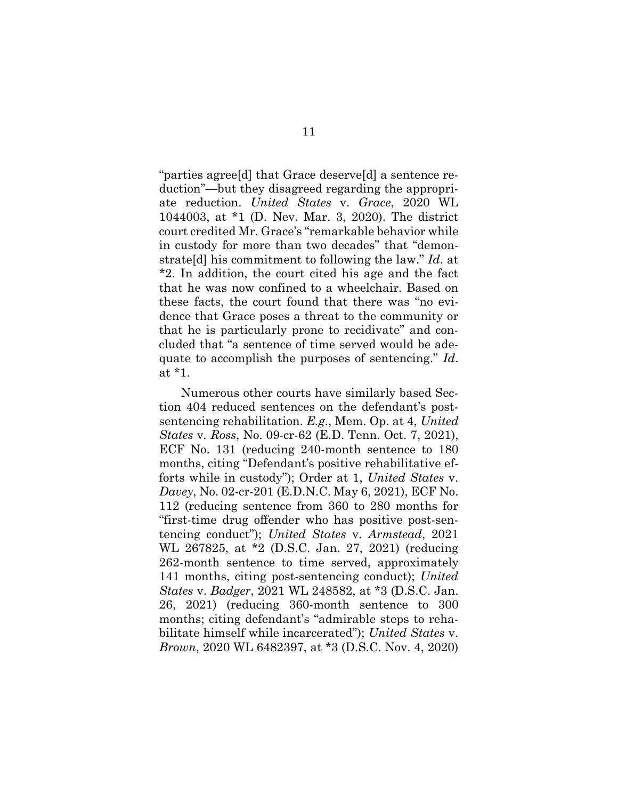<span id="page-19-3"></span>"parties agree[d] that Grace deserve[d] a sentence reduction"—but they disagreed regarding the appropriate reduction. *United States* v. *Grace*, 2020 WL 1044003, at \*1 (D. Nev. Mar. 3, 2020). The district court credited Mr. Grace's "remarkable behavior while in custody for more than two decades" that "demonstrate[d] his commitment to following the law." *Id*. at \*2. In addition, the court cited his age and the fact that he was now confined to a wheelchair. Based on these facts, the court found that there was "no evidence that Grace poses a threat to the community or that he is particularly prone to recidivate" and concluded that "a sentence of time served would be adequate to accomplish the purposes of sentencing." *Id*. at \*1.

<span id="page-19-2"></span><span id="page-19-1"></span><span id="page-19-0"></span>Numerous other courts have similarly based Section 404 reduced sentences on the defendant's postsentencing rehabilitation. *E.g*., Mem. Op. at 4, *United States* v*. Ross*, No. 09-cr-62 (E.D. Tenn. Oct. 7, 2021), ECF No. 131 (reducing 240-month sentence to 180 months, citing "Defendant's positive rehabilitative efforts while in custody"); Order at 1, *United States* v. *Davey*, No. 02-cr-201 (E.D.N.C. May 6, 2021), ECF No. 112 (reducing sentence from 360 to 280 months for "first-time drug offender who has positive post-sentencing conduct"); *United States* v. *Armstead*, 2021 WL 267825, at \*2 (D.S.C. Jan. 27, 2021) (reducing 262-month sentence to time served, approximately 141 months, citing post-sentencing conduct); *United States* v. *Badger*, 2021 WL 248582, at \*3 (D.S.C. Jan. 26, 2021) (reducing 360-month sentence to 300 months; citing defendant's "admirable steps to rehabilitate himself while incarcerated"); *United States* v. *Brown*, 2020 WL 6482397, at \*3 (D.S.C. Nov. 4, 2020)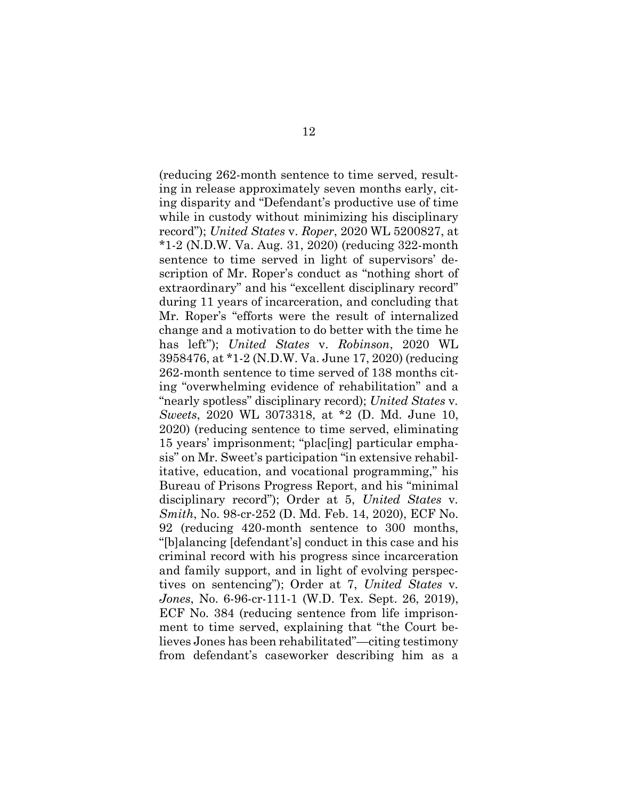<span id="page-20-2"></span><span id="page-20-1"></span><span id="page-20-0"></span>(reducing 262-month sentence to time served, resulting in release approximately seven months early, citing disparity and "Defendant's productive use of time while in custody without minimizing his disciplinary record"); *United States* v. *Roper*, 2020 WL 5200827, at \*1-2 (N.D.W. Va. Aug. 31, 2020) (reducing 322-month sentence to time served in light of supervisors' description of Mr. Roper's conduct as "nothing short of extraordinary" and his "excellent disciplinary record" during 11 years of incarceration, and concluding that Mr. Roper's "efforts were the result of internalized change and a motivation to do better with the time he has left"); *United States* v. *Robinson*, 2020 WL 3958476, at \*1-2 (N.D.W. Va. June 17, 2020) (reducing 262-month sentence to time served of 138 months citing "overwhelming evidence of rehabilitation" and a "nearly spotless" disciplinary record); *United States* v*. Sweets*, 2020 WL 3073318, at \*2 (D. Md. June 10, 2020) (reducing sentence to time served, eliminating 15 years' imprisonment; "plac[ing] particular emphasis" on Mr. Sweet's participation "in extensive rehabilitative, education, and vocational programming," his Bureau of Prisons Progress Report, and his "minimal disciplinary record"); Order at 5, *United States* v*. Smith*, No. 98-cr-252 (D. Md. Feb. 14, 2020), ECF No. 92 (reducing 420-month sentence to 300 months, "[b]alancing [defendant's] conduct in this case and his criminal record with his progress since incarceration and family support, and in light of evolving perspectives on sentencing"); Order at 7, *United States* v*. Jones*, No. 6-96-cr-111-1 (W.D. Tex. Sept. 26, 2019), ECF No. 384 (reducing sentence from life imprisonment to time served, explaining that "the Court believes Jones has been rehabilitated"—citing testimony from defendant's caseworker describing him as a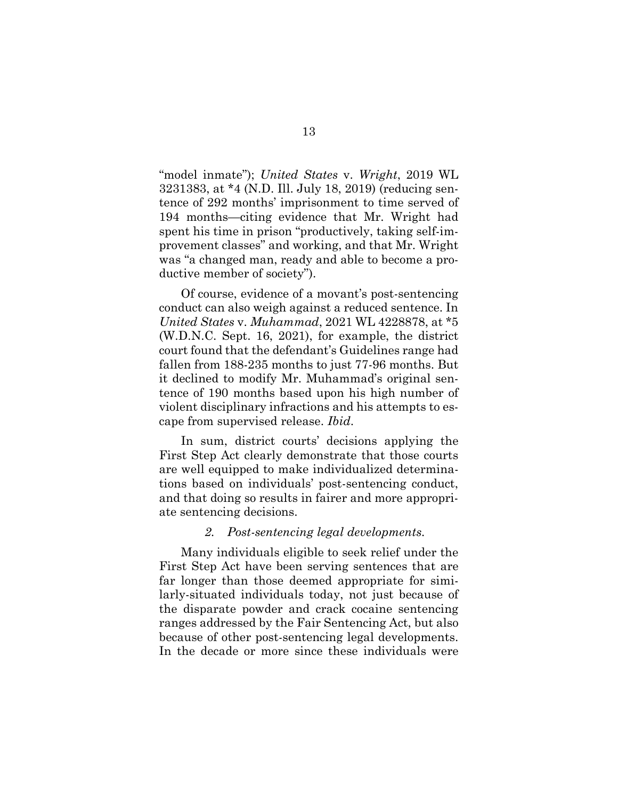<span id="page-21-2"></span>"model inmate"); *United States* v. *Wright*, 2019 WL 3231383, at \*4 (N.D. Ill. July 18, 2019) (reducing sentence of 292 months' imprisonment to time served of 194 months—citing evidence that Mr. Wright had spent his time in prison "productively, taking self-improvement classes" and working, and that Mr. Wright was "a changed man, ready and able to become a productive member of society").

<span id="page-21-1"></span>Of course, evidence of a movant's post-sentencing conduct can also weigh against a reduced sentence. In *United States* v. *Muhammad*, 2021 WL 4228878, at \*5 (W.D.N.C. Sept. 16, 2021), for example, the district court found that the defendant's Guidelines range had fallen from 188-235 months to just 77-96 months. But it declined to modify Mr. Muhammad's original sentence of 190 months based upon his high number of violent disciplinary infractions and his attempts to escape from supervised release. *Ibid*.

In sum, district courts' decisions applying the First Step Act clearly demonstrate that those courts are well equipped to make individualized determinations based on individuals' post-sentencing conduct, and that doing so results in fairer and more appropriate sentencing decisions.

#### *2. Post-sentencing legal developments.*

<span id="page-21-0"></span>Many individuals eligible to seek relief under the First Step Act have been serving sentences that are far longer than those deemed appropriate for similarly-situated individuals today, not just because of the disparate powder and crack cocaine sentencing ranges addressed by the Fair Sentencing Act, but also because of other post-sentencing legal developments. In the decade or more since these individuals were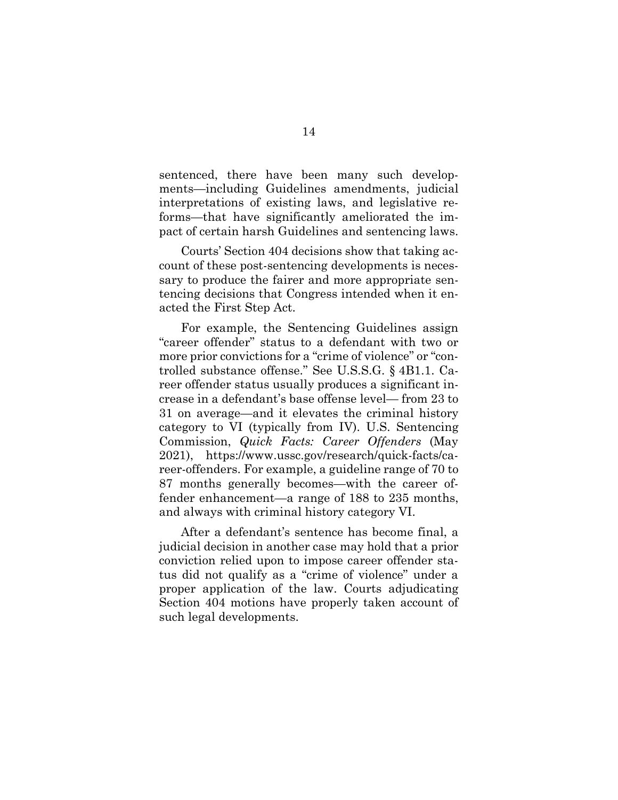sentenced, there have been many such developments—including Guidelines amendments, judicial interpretations of existing laws, and legislative reforms—that have significantly ameliorated the impact of certain harsh Guidelines and sentencing laws.

Courts' Section 404 decisions show that taking account of these post-sentencing developments is necessary to produce the fairer and more appropriate sentencing decisions that Congress intended when it enacted the First Step Act.

<span id="page-22-1"></span><span id="page-22-0"></span>For example, the Sentencing Guidelines assign "career offender" status to a defendant with two or more prior convictions for a "crime of violence" or "controlled substance offense." See U.S.S.G. § 4B1.1. Career offender status usually produces a significant increase in a defendant's base offense level— from 23 to 31 on average—and it elevates the criminal history category to VI (typically from IV). U.S. Sentencing Commission, *Quick Facts: Career Offenders* (May 2021), https://www.ussc.gov/research/quick-facts/career-offenders. For example, a guideline range of 70 to 87 months generally becomes—with the career offender enhancement—a range of 188 to 235 months, and always with criminal history category VI.

After a defendant's sentence has become final, a judicial decision in another case may hold that a prior conviction relied upon to impose career offender status did not qualify as a "crime of violence" under a proper application of the law. Courts adjudicating Section 404 motions have properly taken account of such legal developments.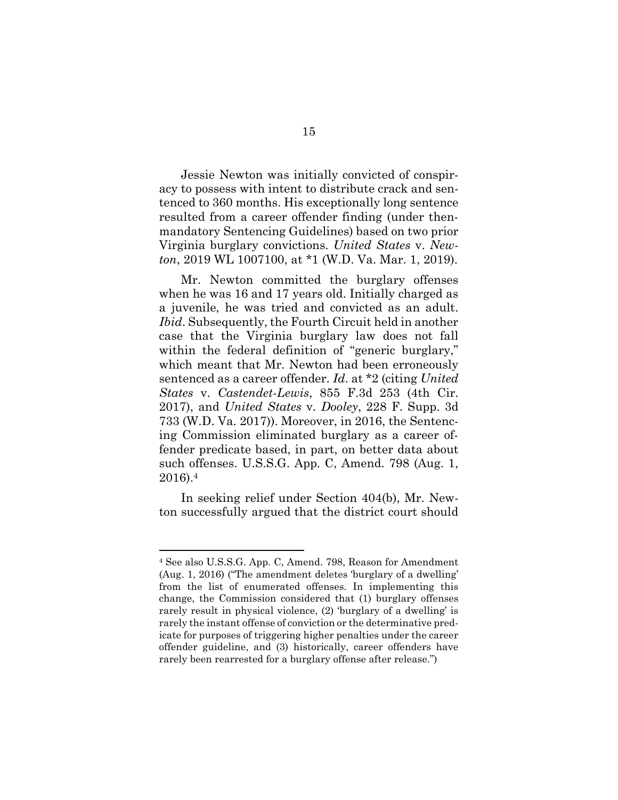Jessie Newton was initially convicted of conspiracy to possess with intent to distribute crack and sentenced to 360 months. His exceptionally long sentence resulted from a career offender finding (under thenmandatory Sentencing Guidelines) based on two prior Virginia burglary convictions. *United States* v. *Newton*, 2019 WL 1007100, at \*1 (W.D. Va. Mar. 1, 2019).

<span id="page-23-2"></span><span id="page-23-0"></span>Mr. Newton committed the burglary offenses when he was 16 and 17 years old. Initially charged as a juvenile, he was tried and convicted as an adult. *Ibid*. Subsequently, the Fourth Circuit held in another case that the Virginia burglary law does not fall within the federal definition of "generic burglary," which meant that Mr. Newton had been erroneously sentenced as a career offender. *Id*. at \*2 (citing *United States* v. *Castendet-Lewis*, 855 F.3d 253 (4th Cir. 2017), and *United States* v*. Dooley*, 228 F. Supp. 3d 733 (W.D. Va. 2017)). Moreover, in 2016, the Sentencing Commission eliminated burglary as a career offender predicate based, in part, on better data about such offenses. U.S.S.G. App. C, Amend. 798 (Aug. 1, 2016).<sup>4</sup>

<span id="page-23-3"></span><span id="page-23-1"></span>In seeking relief under Section 404(b), Mr. Newton successfully argued that the district court should

l

<sup>4</sup> See also U.S.S.G. App. C, Amend. 798, Reason for Amendment (Aug. 1, 2016) ("The amendment deletes 'burglary of a dwelling' from the list of enumerated offenses. In implementing this change, the Commission considered that (1) burglary offenses rarely result in physical violence, (2) 'burglary of a dwelling' is rarely the instant offense of conviction or the determinative predicate for purposes of triggering higher penalties under the career offender guideline, and (3) historically, career offenders have rarely been rearrested for a burglary offense after release.")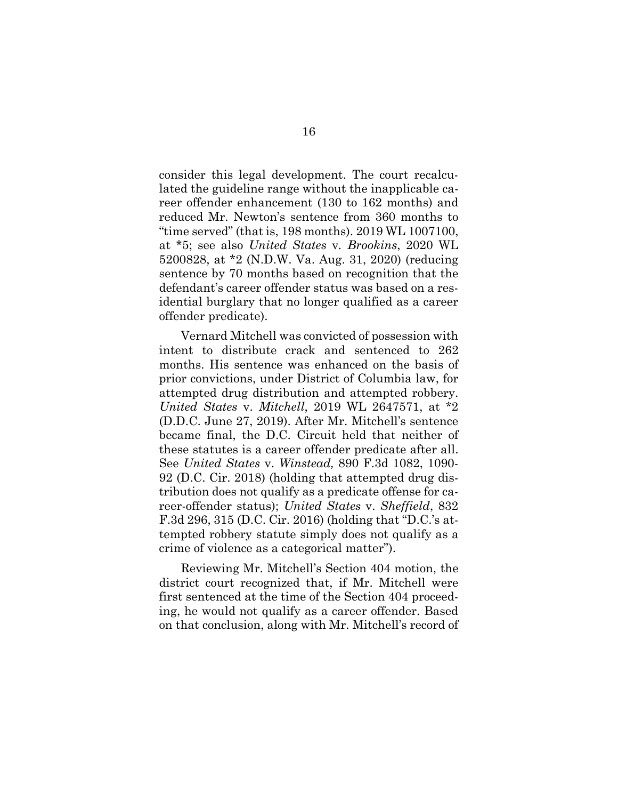<span id="page-24-2"></span><span id="page-24-0"></span>consider this legal development. The court recalculated the guideline range without the inapplicable career offender enhancement (130 to 162 months) and reduced Mr. Newton's sentence from 360 months to "time served" (that is, 198 months). 2019 WL 1007100, at \*5; see also *United States* v*. Brookins*, 2020 WL 5200828, at \*2 (N.D.W. Va. Aug. 31, 2020) (reducing sentence by 70 months based on recognition that the defendant's career offender status was based on a residential burglary that no longer qualified as a career offender predicate).

<span id="page-24-1"></span>Vernard Mitchell was convicted of possession with intent to distribute crack and sentenced to 262 months. His sentence was enhanced on the basis of prior convictions, under District of Columbia law, for attempted drug distribution and attempted robbery. *United States* v. *Mitchell*, 2019 WL 2647571, at \*2 (D.D.C. June 27, 2019). After Mr. Mitchell's sentence became final, the D.C. Circuit held that neither of these statutes is a career offender predicate after all. See *United States* v. *Winstead,* 890 F.3d 1082, 1090- 92 (D.C. Cir. 2018) (holding that attempted drug distribution does not qualify as a predicate offense for career-offender status); *United States* v. *Sheffield*, 832 F.3d 296, 315 (D.C. Cir. 2016) (holding that "D.C.'s attempted robbery statute simply does not qualify as a crime of violence as a categorical matter").

<span id="page-24-4"></span><span id="page-24-3"></span>Reviewing Mr. Mitchell's Section 404 motion, the district court recognized that, if Mr. Mitchell were first sentenced at the time of the Section 404 proceeding, he would not qualify as a career offender. Based on that conclusion, along with Mr. Mitchell's record of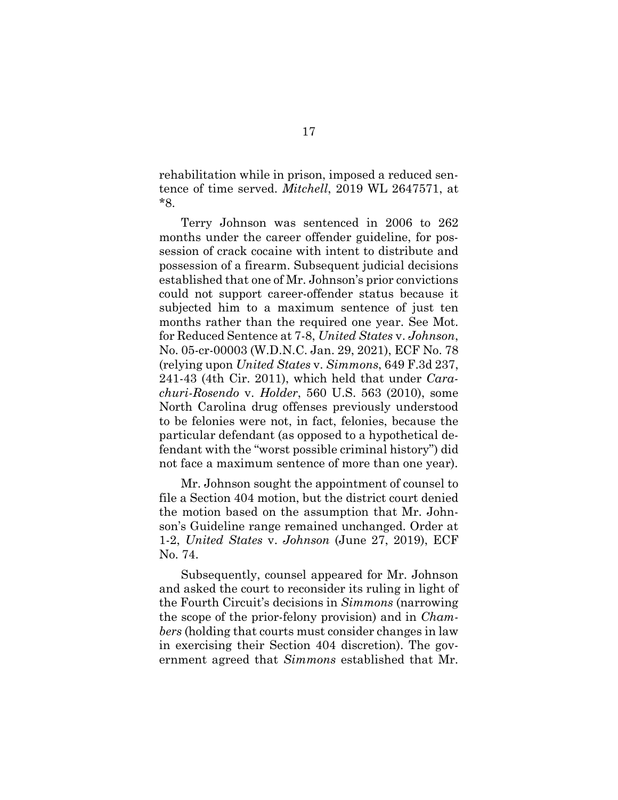<span id="page-25-2"></span>rehabilitation while in prison, imposed a reduced sentence of time served. *Mitchell*, 2019 WL 2647571, at \*8.

Terry Johnson was sentenced in 2006 to 262 months under the career offender guideline, for possession of crack cocaine with intent to distribute and possession of a firearm. Subsequent judicial decisions established that one of Mr. Johnson's prior convictions could not support career-offender status because it subjected him to a maximum sentence of just ten months rather than the required one year. See Mot. for Reduced Sentence at 7-8, *United States* v. *Johnson*, No. 05-cr-00003 (W.D.N.C. Jan. 29, 2021), ECF No. 78 (relying upon *United States* v. *Simmons*, 649 F.3d 237, 241-43 (4th Cir. 2011), which held that under *Carachuri-Rosendo* v. *Holder*, 560 U.S. 563 (2010), some North Carolina drug offenses previously understood to be felonies were not, in fact, felonies, because the particular defendant (as opposed to a hypothetical defendant with the "worst possible criminal history") did not face a maximum sentence of more than one year).

<span id="page-25-3"></span><span id="page-25-0"></span>Mr. Johnson sought the appointment of counsel to file a Section 404 motion, but the district court denied the motion based on the assumption that Mr. Johnson's Guideline range remained unchanged. Order at 1-2, *United States* v. *Johnson* (June 27, 2019), ECF No. 74.

<span id="page-25-1"></span>Subsequently, counsel appeared for Mr. Johnson and asked the court to reconsider its ruling in light of the Fourth Circuit's decisions in *Simmons* (narrowing the scope of the prior-felony provision) and in *Chambers* (holding that courts must consider changes in law in exercising their Section 404 discretion). The government agreed that *Simmons* established that Mr.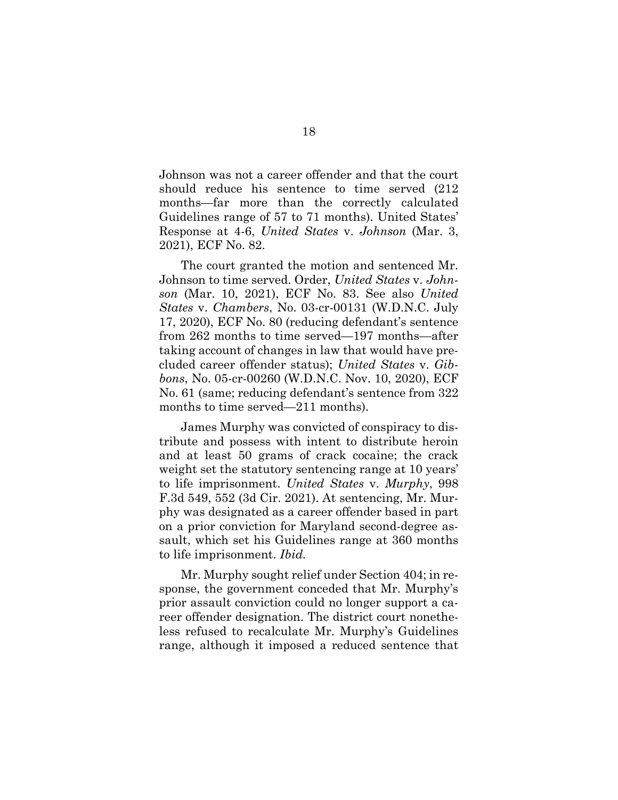Johnson was not a career offender and that the court should reduce his sentence to time served (212 months—far more than the correctly calculated Guidelines range of 57 to 71 months). United States' Response at 4-6, *United States* v. *Johnson* (Mar. 3, 2021), ECF No. 82.

The court granted the motion and sentenced Mr. Johnson to time served. Order, *United States* v. *Johnson* (Mar. 10, 2021), ECF No. 83. See also *United States* v. *Chambers*, No. 03-cr-00131 (W.D.N.C. July 17, 2020), ECF No. 80 (reducing defendant's sentence from 262 months to time served—197 months—after taking account of changes in law that would have precluded career offender status); *United States* v. *Gibbons*, No. 05-cr-00260 (W.D.N.C. Nov. 10, 2020), ECF No. 61 (same; reducing defendant's sentence from 322 months to time served—211 months).

<span id="page-26-0"></span>James Murphy was convicted of conspiracy to distribute and possess with intent to distribute heroin and at least 50 grams of crack cocaine; the crack weight set the statutory sentencing range at 10 years' to life imprisonment. *United States* v. *Murphy*, 998 F.3d 549, 552 (3d Cir. 2021). At sentencing, Mr. Murphy was designated as a career offender based in part on a prior conviction for Maryland second-degree assault, which set his Guidelines range at 360 months to life imprisonment. *Ibid.* 

Mr. Murphy sought relief under Section 404; in response, the government conceded that Mr. Murphy's prior assault conviction could no longer support a career offender designation. The district court nonetheless refused to recalculate Mr. Murphy's Guidelines range, although it imposed a reduced sentence that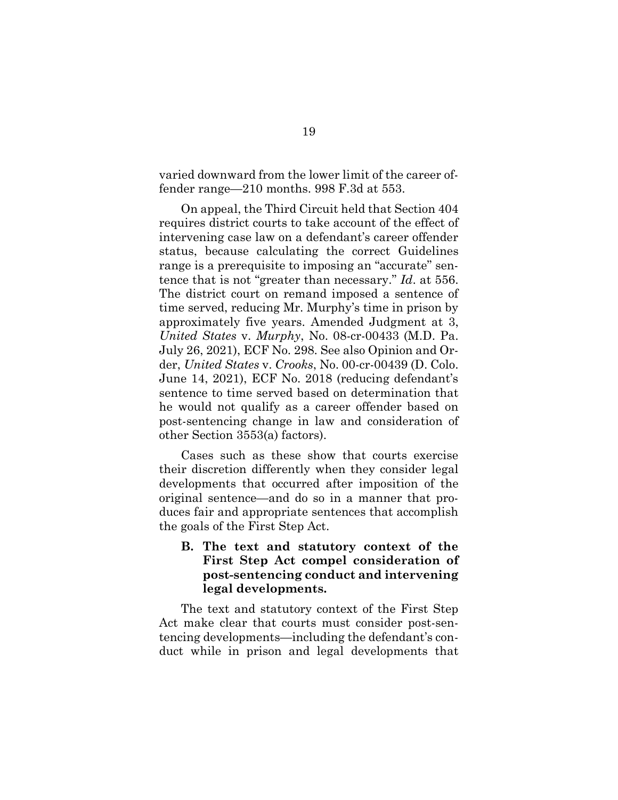<span id="page-27-1"></span>varied downward from the lower limit of the career offender range—210 months. 998 F.3d at 553.

On appeal, the Third Circuit held that Section 404 requires district courts to take account of the effect of intervening case law on a defendant's career offender status, because calculating the correct Guidelines range is a prerequisite to imposing an "accurate" sentence that is not "greater than necessary." *Id*. at 556. The district court on remand imposed a sentence of time served, reducing Mr. Murphy's time in prison by approximately five years. Amended Judgment at 3, *United States* v. *Murphy*, No. 08-cr-00433 (M.D. Pa. July 26, 2021), ECF No. 298. See also Opinion and Order, *United States* v. *Crooks*, No. 00-cr-00439 (D. Colo. June 14, 2021), ECF No. 2018 (reducing defendant's sentence to time served based on determination that he would not qualify as a career offender based on post-sentencing change in law and consideration of other Section 3553(a) factors).

<span id="page-27-2"></span>Cases such as these show that courts exercise their discretion differently when they consider legal developments that occurred after imposition of the original sentence—and do so in a manner that produces fair and appropriate sentences that accomplish the goals of the First Step Act.

<span id="page-27-0"></span>**B. The text and statutory context of the First Step Act compel consideration of post-sentencing conduct and intervening legal developments.** 

The text and statutory context of the First Step Act make clear that courts must consider post-sentencing developments—including the defendant's conduct while in prison and legal developments that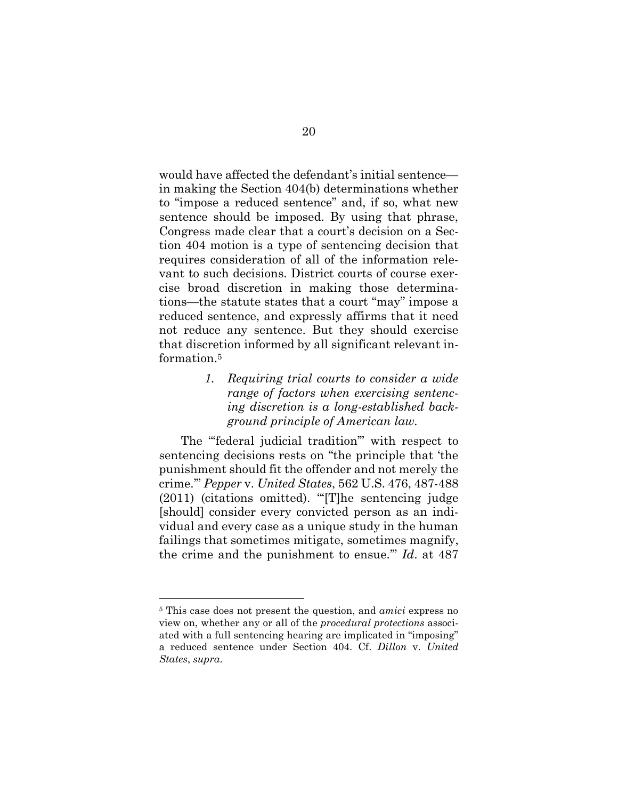would have affected the defendant's initial sentence in making the Section 404(b) determinations whether to "impose a reduced sentence" and, if so, what new sentence should be imposed. By using that phrase, Congress made clear that a court's decision on a Section 404 motion is a type of sentencing decision that requires consideration of all of the information relevant to such decisions. District courts of course exercise broad discretion in making those determinations—the statute states that a court "may" impose a reduced sentence, and expressly affirms that it need not reduce any sentence. But they should exercise that discretion informed by all significant relevant information.<sup>5</sup>

> <span id="page-28-0"></span>*1. Requiring trial courts to consider a wide range of factors when exercising sentencing discretion is a long-established background principle of American law.*

<span id="page-28-1"></span>The "'federal judicial tradition'" with respect to sentencing decisions rests on "the principle that 'the punishment should fit the offender and not merely the crime.'" *Pepper* v. *United States*, 562 U.S. 476, 487-488 (2011) (citations omitted). "'[T]he sentencing judge [should] consider every convicted person as an individual and every case as a unique study in the human failings that sometimes mitigate, sometimes magnify, the crime and the punishment to ensue.'" *Id*. at 487

l

<sup>5</sup> This case does not present the question, and *amici* express no view on, whether any or all of the *procedural protections* associated with a full sentencing hearing are implicated in "imposing" a reduced sentence under Section 404. Cf. *Dillon* v. *United States*, *supra*.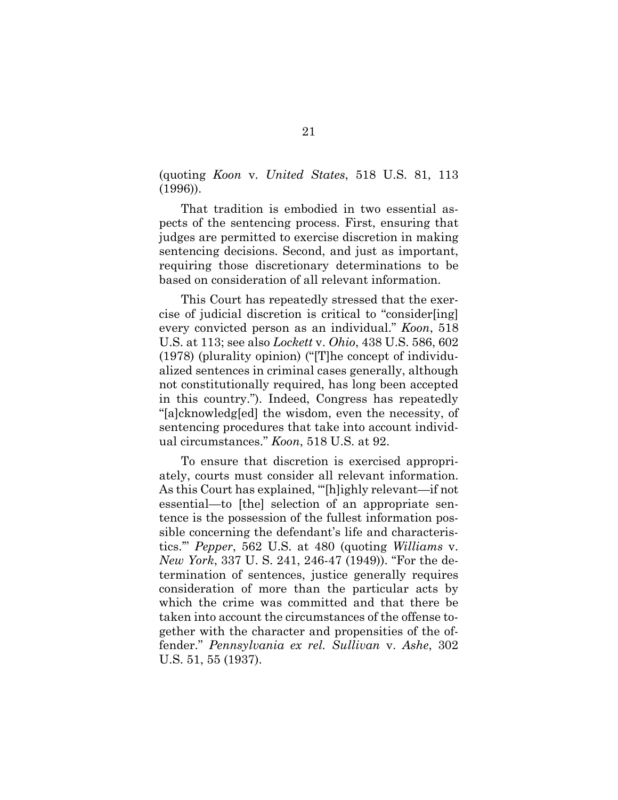<span id="page-29-0"></span>(quoting *Koon* v. *United States*, 518 U.S. 81, 113 (1996)).

That tradition is embodied in two essential aspects of the sentencing process. First, ensuring that judges are permitted to exercise discretion in making sentencing decisions. Second, and just as important, requiring those discretionary determinations to be based on consideration of all relevant information.

<span id="page-29-1"></span>This Court has repeatedly stressed that the exercise of judicial discretion is critical to "consider[ing] every convicted person as an individual." *Koon*, 518 U.S. at 113; see also *Lockett* v. *Ohio*, 438 U.S. 586, 602 (1978) (plurality opinion) ("[T]he concept of individualized sentences in criminal cases generally, although not constitutionally required, has long been accepted in this country."). Indeed, Congress has repeatedly "[a]cknowledg[ed] the wisdom, even the necessity, of sentencing procedures that take into account individual circumstances." *Koon*, 518 U.S. at 92.

<span id="page-29-4"></span><span id="page-29-3"></span><span id="page-29-2"></span>To ensure that discretion is exercised appropriately, courts must consider all relevant information. As this Court has explained, "'[h]ighly relevant—if not essential—to [the] selection of an appropriate sentence is the possession of the fullest information possible concerning the defendant's life and characteristics.'" *Pepper*, 562 U.S. at 480 (quoting *Williams* v. *New York*, 337 U. S. 241, 246-47 (1949)). "For the determination of sentences, justice generally requires consideration of more than the particular acts by which the crime was committed and that there be taken into account the circumstances of the offense together with the character and propensities of the offender." *Pennsylvania ex rel. Sullivan* v. *Ashe*, 302 U.S. 51, 55 (1937).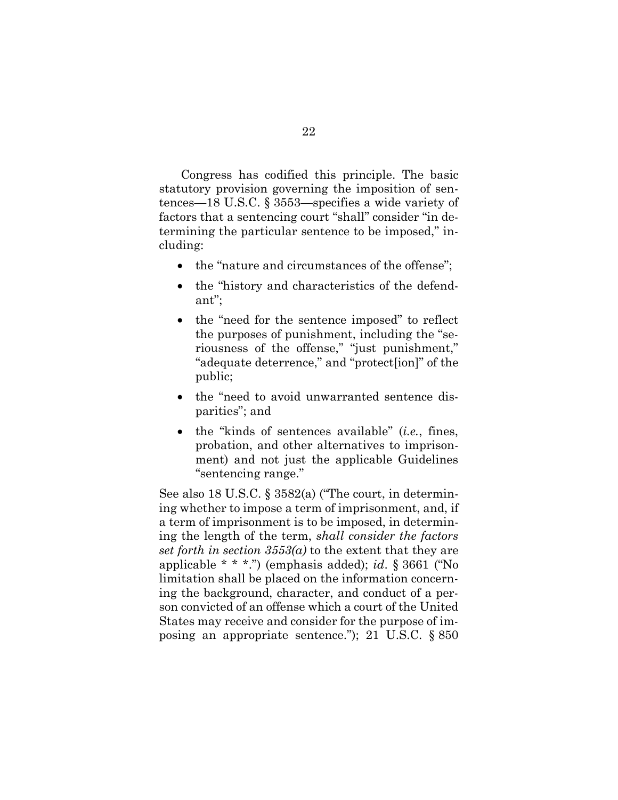<span id="page-30-0"></span>Congress has codified this principle. The basic statutory provision governing the imposition of sentences—18 U.S.C. § 3553—specifies a wide variety of factors that a sentencing court "shall" consider "in determining the particular sentence to be imposed," including:

- the "nature and circumstances of the offense";
- the "history and characteristics of the defendant";
- the "need for the sentence imposed" to reflect the purposes of punishment, including the "seriousness of the offense," "just punishment," "adequate deterrence," and "protect[ion]" of the public;
- the "need to avoid unwarranted sentence disparities"; and
- the "kinds of sentences available" (*i.e.*, fines, probation, and other alternatives to imprisonment) and not just the applicable Guidelines "sentencing range."

<span id="page-30-2"></span><span id="page-30-1"></span>See also 18 U.S.C. § 3582(a) ("The court, in determining whether to impose a term of imprisonment, and, if a term of imprisonment is to be imposed, in determining the length of the term, *shall consider the factors set forth in section 3553(a)* to the extent that they are applicable \* \* \*.") (emphasis added); *id*. § 3661 ("No limitation shall be placed on the information concerning the background, character, and conduct of a person convicted of an offense which a court of the United States may receive and consider for the purpose of imposing an appropriate sentence."); 21 U.S.C. § 850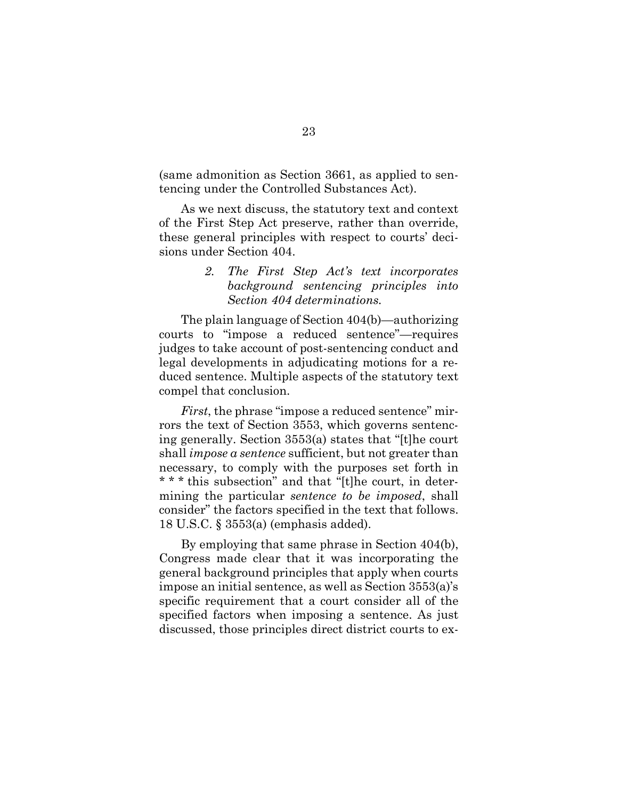(same admonition as Section 3661, as applied to sentencing under the Controlled Substances Act).

As we next discuss, the statutory text and context of the First Step Act preserve, rather than override, these general principles with respect to courts' decisions under Section 404.

### <span id="page-31-0"></span>*2. The First Step Act's text incorporates background sentencing principles into Section 404 determinations.*

The plain language of Section 404(b)—authorizing courts to "impose a reduced sentence"—requires judges to take account of post-sentencing conduct and legal developments in adjudicating motions for a reduced sentence. Multiple aspects of the statutory text compel that conclusion.

<span id="page-31-1"></span>*First*, the phrase "impose a reduced sentence" mirrors the text of Section 3553, which governs sentencing generally. Section 3553(a) states that "[t]he court shall *impose a sentence* sufficient, but not greater than necessary, to comply with the purposes set forth in \* \* \* this subsection" and that "[t]he court, in determining the particular *sentence to be imposed*, shall consider" the factors specified in the text that follows. 18 U.S.C. § 3553(a) (emphasis added).

<span id="page-31-2"></span>By employing that same phrase in Section 404(b), Congress made clear that it was incorporating the general background principles that apply when courts impose an initial sentence, as well as Section 3553(a)'s specific requirement that a court consider all of the specified factors when imposing a sentence. As just discussed, those principles direct district courts to ex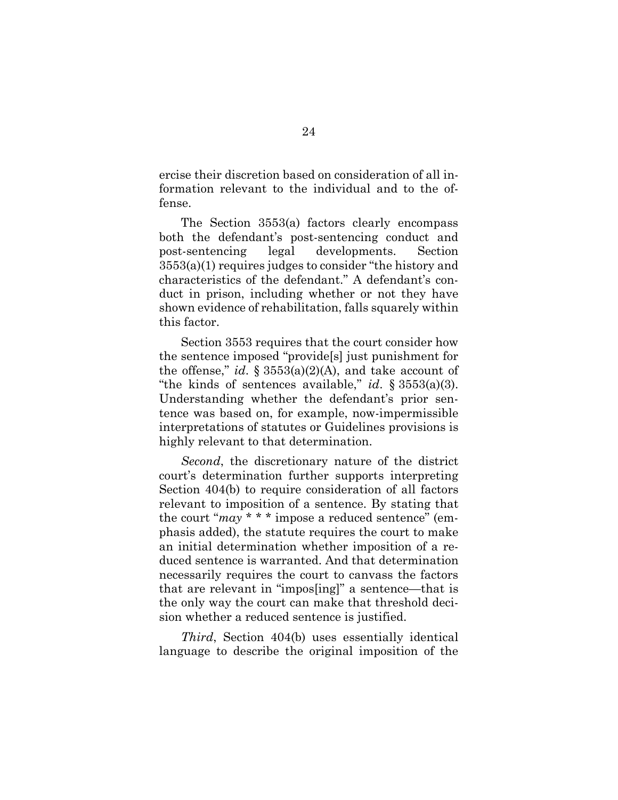ercise their discretion based on consideration of all information relevant to the individual and to the offense.

<span id="page-32-1"></span>The Section 3553(a) factors clearly encompass both the defendant's post-sentencing conduct and post-sentencing legal developments. Section 3553(a)(1) requires judges to consider "the history and characteristics of the defendant." A defendant's conduct in prison, including whether or not they have shown evidence of rehabilitation, falls squarely within this factor.

<span id="page-32-3"></span><span id="page-32-2"></span><span id="page-32-0"></span>Section 3553 requires that the court consider how the sentence imposed "provide[s] just punishment for the offense," *id.*  $\S 3553(a)(2)(A)$ , and take account of "the kinds of sentences available," *id*. § 3553(a)(3). Understanding whether the defendant's prior sentence was based on, for example, now-impermissible interpretations of statutes or Guidelines provisions is highly relevant to that determination.

*Second*, the discretionary nature of the district court's determination further supports interpreting Section 404(b) to require consideration of all factors relevant to imposition of a sentence. By stating that the court "*may* \* \* \* impose a reduced sentence" (emphasis added), the statute requires the court to make an initial determination whether imposition of a reduced sentence is warranted. And that determination necessarily requires the court to canvass the factors that are relevant in "impos[ing]" a sentence—that is the only way the court can make that threshold decision whether a reduced sentence is justified.

*Third*, Section 404(b) uses essentially identical language to describe the original imposition of the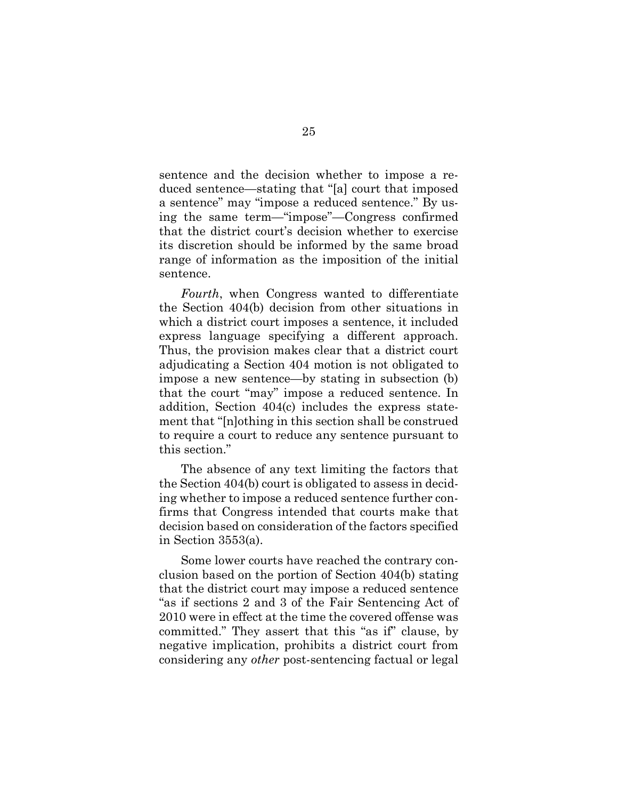sentence and the decision whether to impose a reduced sentence—stating that "[a] court that imposed a sentence" may "impose a reduced sentence." By using the same term—"impose"—Congress confirmed that the district court's decision whether to exercise its discretion should be informed by the same broad range of information as the imposition of the initial sentence.

*Fourth*, when Congress wanted to differentiate the Section 404(b) decision from other situations in which a district court imposes a sentence, it included express language specifying a different approach. Thus, the provision makes clear that a district court adjudicating a Section 404 motion is not obligated to impose a new sentence—by stating in subsection (b) that the court "may" impose a reduced sentence. In addition, Section 404(c) includes the express statement that "[n]othing in this section shall be construed to require a court to reduce any sentence pursuant to this section."

The absence of any text limiting the factors that the Section 404(b) court is obligated to assess in deciding whether to impose a reduced sentence further confirms that Congress intended that courts make that decision based on consideration of the factors specified in Section 3553(a).

Some lower courts have reached the contrary conclusion based on the portion of Section 404(b) stating that the district court may impose a reduced sentence "as if sections 2 and 3 of the Fair Sentencing Act of 2010 were in effect at the time the covered offense was committed." They assert that this "as if" clause, by negative implication, prohibits a district court from considering any *other* post-sentencing factual or legal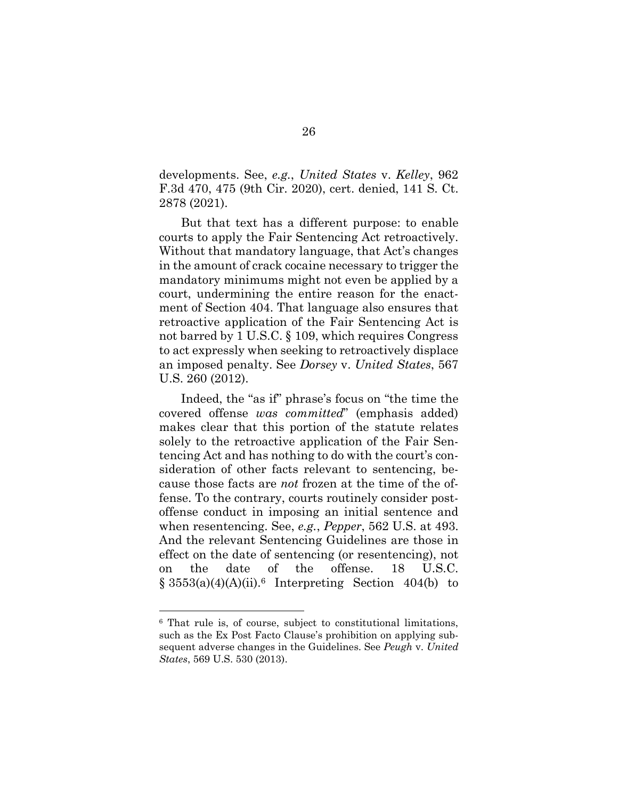<span id="page-34-3"></span>developments. See, *e.g.*, *United States* v. *Kelley*, 962 F.3d 470, 475 (9th Cir. 2020), cert. denied, 141 S. Ct. 2878 (2021).

But that text has a different purpose: to enable courts to apply the Fair Sentencing Act retroactively. Without that mandatory language, that Act's changes in the amount of crack cocaine necessary to trigger the mandatory minimums might not even be applied by a court, undermining the entire reason for the enactment of Section 404. That language also ensures that retroactive application of the Fair Sentencing Act is not barred by 1 U.S.C. § 109, which requires Congress to act expressly when seeking to retroactively displace an imposed penalty. See *Dorsey* v. *United States*, 567 U.S. 260 (2012).

<span id="page-34-4"></span><span id="page-34-0"></span>Indeed, the "as if" phrase's focus on "the time the covered offense *was committed*" (emphasis added) makes clear that this portion of the statute relates solely to the retroactive application of the Fair Sentencing Act and has nothing to do with the court's consideration of other facts relevant to sentencing, because those facts are *not* frozen at the time of the offense. To the contrary, courts routinely consider postoffense conduct in imposing an initial sentence and when resentencing. See, *e.g.*, *Pepper*, 562 U.S. at 493. And the relevant Sentencing Guidelines are those in effect on the date of sentencing (or resentencing), not on the date of the offense. 18 U.S.C.  $§ 3553(a)(4)(A)(ii).$ <sup>6</sup> Interpreting Section 404(b) to

<span id="page-34-5"></span><span id="page-34-1"></span>l

<span id="page-34-2"></span><sup>6</sup> That rule is, of course, subject to constitutional limitations, such as the Ex Post Facto Clause's prohibition on applying subsequent adverse changes in the Guidelines. See *Peugh* v. *United States*, 569 U.S. 530 (2013).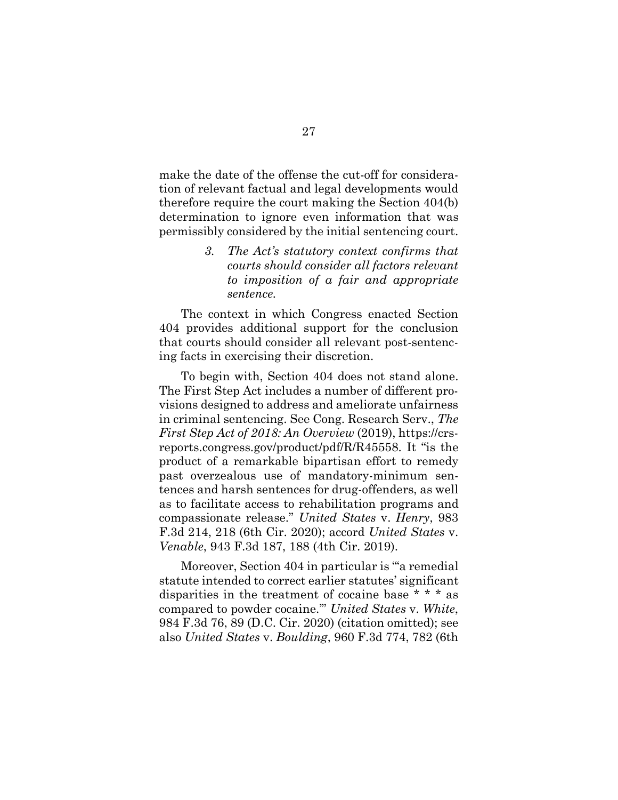make the date of the offense the cut-off for consideration of relevant factual and legal developments would therefore require the court making the Section 404(b) determination to ignore even information that was permissibly considered by the initial sentencing court.

> <span id="page-35-0"></span>*3. The Act's statutory context confirms that courts should consider all factors relevant to imposition of a fair and appropriate sentence.*

The context in which Congress enacted Section 404 provides additional support for the conclusion that courts should consider all relevant post-sentencing facts in exercising their discretion.

<span id="page-35-5"></span>To begin with, Section 404 does not stand alone. The First Step Act includes a number of different provisions designed to address and ameliorate unfairness in criminal sentencing. See Cong. Research Serv., *The First Step Act of 2018: An Overview* (2019), https://crsreports.congress.gov/product/pdf/R/R45558. It "is the product of a remarkable bipartisan effort to remedy past overzealous use of mandatory-minimum sentences and harsh sentences for drug-offenders, as well as to facilitate access to rehabilitation programs and compassionate release." *United States* v. *Henry*, 983 F.3d 214, 218 (6th Cir. 2020); accord *United States* v. *Venable*, 943 F.3d 187, 188 (4th Cir. 2019).

<span id="page-35-4"></span><span id="page-35-3"></span><span id="page-35-2"></span><span id="page-35-1"></span>Moreover, Section 404 in particular is "'a remedial statute intended to correct earlier statutes' significant disparities in the treatment of cocaine base \* \* \* as compared to powder cocaine.'" *United States* v. *White*, 984 F.3d 76, 89 (D.C. Cir. 2020) (citation omitted); see also *United States* v. *Boulding*, 960 F.3d 774, 782 (6th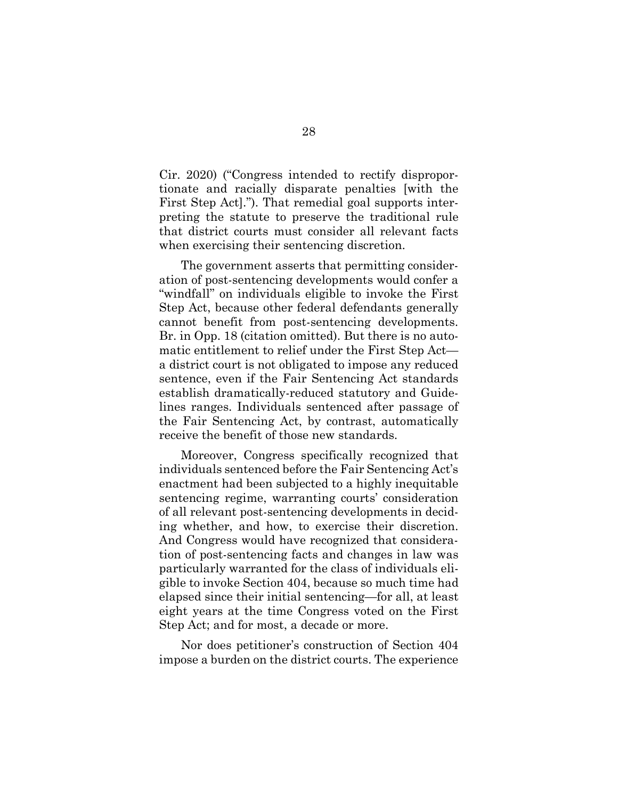Cir. 2020) ("Congress intended to rectify disproportionate and racially disparate penalties [with the First Step Act]."). That remedial goal supports interpreting the statute to preserve the traditional rule that district courts must consider all relevant facts when exercising their sentencing discretion.

The government asserts that permitting consideration of post-sentencing developments would confer a "windfall" on individuals eligible to invoke the First Step Act, because other federal defendants generally cannot benefit from post-sentencing developments. Br. in Opp. 18 (citation omitted). But there is no automatic entitlement to relief under the First Step Act a district court is not obligated to impose any reduced sentence, even if the Fair Sentencing Act standards establish dramatically-reduced statutory and Guidelines ranges. Individuals sentenced after passage of the Fair Sentencing Act, by contrast, automatically receive the benefit of those new standards.

Moreover, Congress specifically recognized that individuals sentenced before the Fair Sentencing Act's enactment had been subjected to a highly inequitable sentencing regime, warranting courts' consideration of all relevant post-sentencing developments in deciding whether, and how, to exercise their discretion. And Congress would have recognized that consideration of post-sentencing facts and changes in law was particularly warranted for the class of individuals eligible to invoke Section 404, because so much time had elapsed since their initial sentencing—for all, at least eight years at the time Congress voted on the First Step Act; and for most, a decade or more.

Nor does petitioner's construction of Section 404 impose a burden on the district courts. The experience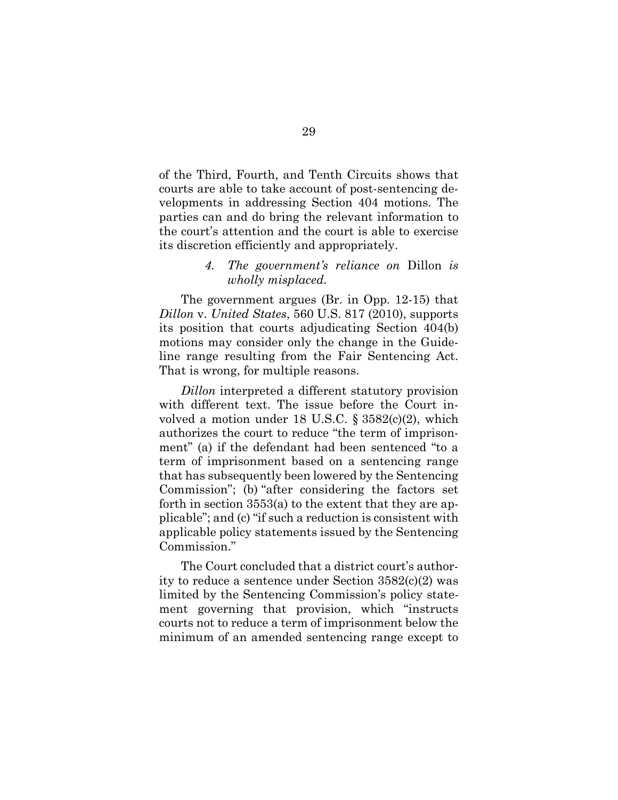of the Third, Fourth, and Tenth Circuits shows that courts are able to take account of post-sentencing developments in addressing Section 404 motions. The parties can and do bring the relevant information to the court's attention and the court is able to exercise its discretion efficiently and appropriately.

#### *4. The government's reliance on* Dillon *is wholly misplaced.*

<span id="page-37-0"></span>The government argues (Br. in Opp. 12-15) that *Dillon* v. *United States*, 560 U.S. 817 (2010), supports its position that courts adjudicating Section 404(b) motions may consider only the change in the Guideline range resulting from the Fair Sentencing Act. That is wrong, for multiple reasons.

<span id="page-37-1"></span>*Dillon* interpreted a different statutory provision with different text. The issue before the Court involved a motion under 18 U.S.C. § 3582(c)(2), which authorizes the court to reduce "the term of imprisonment" (a) if the defendant had been sentenced "to a term of imprisonment based on a sentencing range that has subsequently been lowered by the Sentencing Commission"; (b) "after considering the factors set forth in section 3553(a) to the extent that they are applicable"; and (c) "if such a reduction is consistent with applicable policy statements issued by the Sentencing Commission."

The Court concluded that a district court's authority to reduce a sentence under Section 3582(c)(2) was limited by the Sentencing Commission's policy statement governing that provision, which "instructs courts not to reduce a term of imprisonment below the minimum of an amended sentencing range except to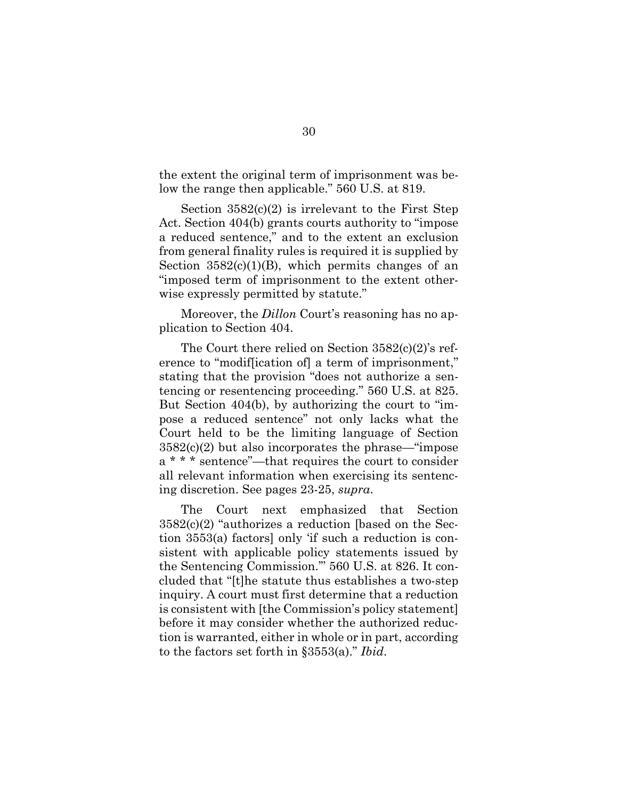the extent the original term of imprisonment was below the range then applicable." 560 U.S. at 819.

<span id="page-38-1"></span>Section  $3582(c)(2)$  is irrelevant to the First Step Act. Section 404(b) grants courts authority to "impose a reduced sentence," and to the extent an exclusion from general finality rules is required it is supplied by Section  $3582(c)(1)(B)$ , which permits changes of an "imposed term of imprisonment to the extent otherwise expressly permitted by statute."

<span id="page-38-0"></span>Moreover, the *Dillon* Court's reasoning has no application to Section 404.

The Court there relied on Section 3582(c)(2)'s reference to "modif[ication of] a term of imprisonment," stating that the provision "does not authorize a sentencing or resentencing proceeding." 560 U.S. at 825. But Section 404(b), by authorizing the court to "impose a reduced sentence" not only lacks what the Court held to be the limiting language of Section 3582(c)(2) but also incorporates the phrase—"impose a \* \* \* sentence"—that requires the court to consider all relevant information when exercising its sentencing discretion. See pages 23-25, *supra*.

The Court next emphasized that Section 3582(c)(2) "authorizes a reduction [based on the Section 3553(a) factors] only 'if such a reduction is consistent with applicable policy statements issued by the Sentencing Commission.'" 560 U.S. at 826. It concluded that "[t]he statute thus establishes a two-step inquiry. A court must first determine that a reduction is consistent with [the Commission's policy statement] before it may consider whether the authorized reduction is warranted, either in whole or in part, according to the factors set forth in §3553(a)." *Ibid*.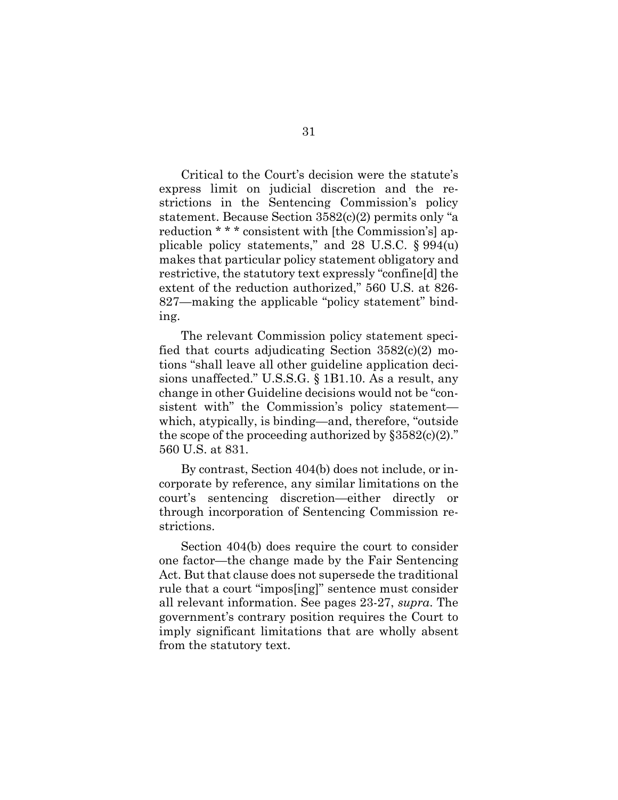<span id="page-39-1"></span><span id="page-39-0"></span>Critical to the Court's decision were the statute's express limit on judicial discretion and the restrictions in the Sentencing Commission's policy statement. Because Section 3582(c)(2) permits only "a reduction \* \* \* consistent with [the Commission's] applicable policy statements," and 28 U.S.C. § 994(u) makes that particular policy statement obligatory and restrictive, the statutory text expressly "confine[d] the extent of the reduction authorized," 560 U.S. at 826- 827—making the applicable "policy statement" binding.

<span id="page-39-2"></span>The relevant Commission policy statement specified that courts adjudicating Section 3582(c)(2) motions "shall leave all other guideline application decisions unaffected." U.S.S.G. § 1B1.10. As a result, any change in other Guideline decisions would not be "consistent with" the Commission's policy statement which, atypically, is binding—and, therefore, "outside the scope of the proceeding authorized by  $\S 3582(c)(2)$ ." 560 U.S. at 831.

By contrast, Section 404(b) does not include, or incorporate by reference, any similar limitations on the court's sentencing discretion—either directly or through incorporation of Sentencing Commission restrictions.

Section 404(b) does require the court to consider one factor—the change made by the Fair Sentencing Act. But that clause does not supersede the traditional rule that a court "impos[ing]" sentence must consider all relevant information. See pages 23-27, *supra*. The government's contrary position requires the Court to imply significant limitations that are wholly absent from the statutory text.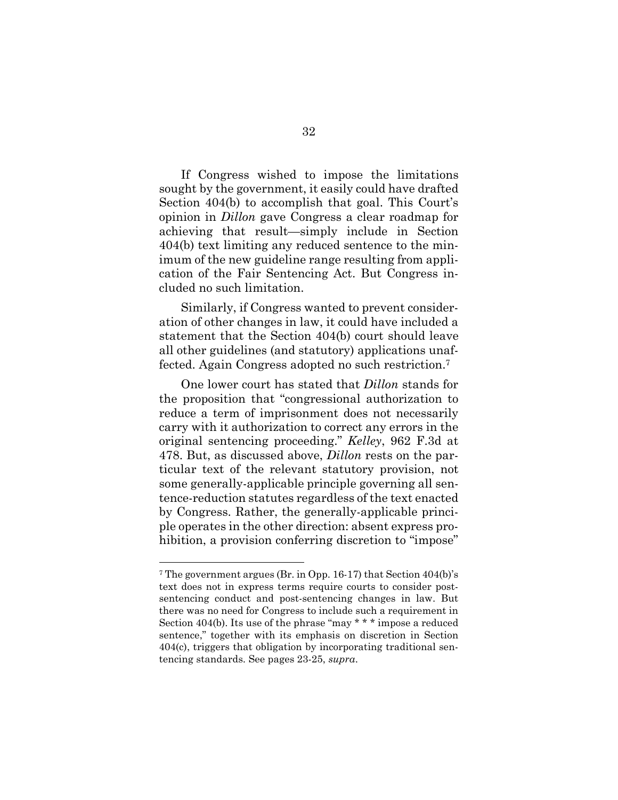If Congress wished to impose the limitations sought by the government, it easily could have drafted Section 404(b) to accomplish that goal. This Court's opinion in *Dillon* gave Congress a clear roadmap for achieving that result—simply include in Section 404(b) text limiting any reduced sentence to the minimum of the new guideline range resulting from application of the Fair Sentencing Act. But Congress included no such limitation.

Similarly, if Congress wanted to prevent consideration of other changes in law, it could have included a statement that the Section 404(b) court should leave all other guidelines (and statutory) applications unaffected. Again Congress adopted no such restriction.<sup>7</sup>

<span id="page-40-0"></span>One lower court has stated that *Dillon* stands for the proposition that "congressional authorization to reduce a term of imprisonment does not necessarily carry with it authorization to correct any errors in the original sentencing proceeding." *Kelley*, 962 F.3d at 478. But, as discussed above, *Dillon* rests on the particular text of the relevant statutory provision, not some generally-applicable principle governing all sentence-reduction statutes regardless of the text enacted by Congress. Rather, the generally-applicable principle operates in the other direction: absent express prohibition, a provision conferring discretion to "impose"

l

<sup>7</sup> The government argues (Br. in Opp. 16-17) that Section 404(b)'s text does not in express terms require courts to consider postsentencing conduct and post-sentencing changes in law. But there was no need for Congress to include such a requirement in Section 404(b). Its use of the phrase "may \* \* \* impose a reduced sentence," together with its emphasis on discretion in Section 404(c), triggers that obligation by incorporating traditional sentencing standards. See pages 23-25, *supra*.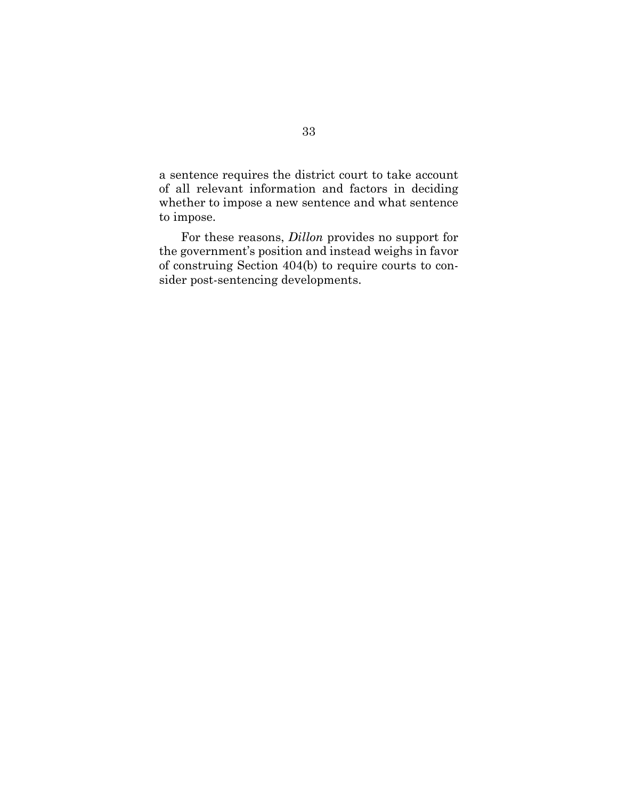a sentence requires the district court to take account of all relevant information and factors in deciding whether to impose a new sentence and what sentence to impose.

For these reasons, *Dillon* provides no support for the government's position and instead weighs in favor of construing Section 404(b) to require courts to consider post-sentencing developments.